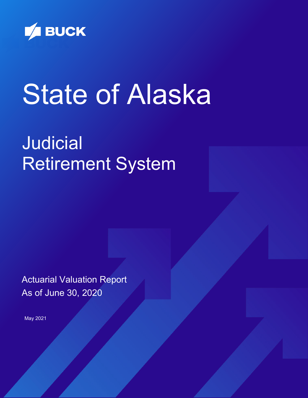

# State of Alaska

# Judicial Retirement System

Actuarial Valuation Report As of June 30, 2020

May 2021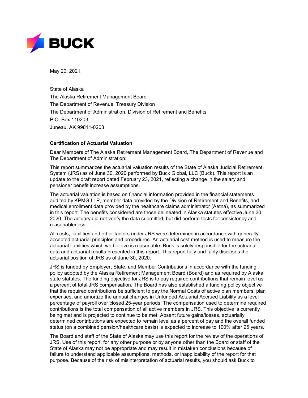

May 20, 2021

State of Alaska The Alaska Retirement Management Board The Department of Revenue, Treasury Division The Department of Administration, Division of Retirement and Benefits P.O. Box 110203 Juneau, AK 99811-0203

#### **Certification of Actuarial Valuation**

Dear Members of The Alaska Retirement Management Board, The Department of Revenue and The Department of Administration:

This report summarizes the actuarial valuation results of the State of Alaska Judicial Retirement System (JRS) as of June 30, 2020 performed by Buck Global, LLC (Buck). This report is an update to the draft report dated February 23, 2021, reflecting a change in the salary and pensioner benefit increase assumptions.

The actuarial valuation is based on financial information provided in the financial statements audited by KPMG LLP, member data provided by the Division of Retirement and Benefits, and medical enrollment data provided by the healthcare claims administrator (Aetna), as summarized in this report. The benefits considered are those delineated in Alaska statutes effective June 30, 2020. The actuary did not verify the data submitted, but did perform tests for consistency and reasonableness.

All costs, liabilities and other factors under JRS were determined in accordance with generally accepted actuarial principles and procedures. An actuarial cost method is used to measure the actuarial liabilities which we believe is reasonable. Buck is solely responsible for the actuarial data and actuarial results presented in this report. This report fully and fairly discloses the actuarial position of JRS as of June 30, 2020.

JRS is funded by Employer, State, and Member Contributions in accordance with the funding policy adopted by the Alaska Retirement Management Board (Board) and as required by Alaska state statutes. The funding objective for JRS is to pay required contributions that remain level as a percent of total JRS compensation. The Board has also established a funding policy objective that the required contributions be sufficient to pay the Normal Costs of active plan members, plan expenses, and amortize the annual changes in Unfunded Actuarial Accrued Liability as a level percentage of payroll over closed 25-year periods. The compensation used to determine required contributions is the total compensation of all active members in JRS. This objective is currently being met and is projected to continue to be met. Absent future gains/losses, actuarially determined contributions are expected to remain level as a percent of pay and the overall funded status (on a combined pension/healthcare basis) is expected to increase to 100% after 25 years.

The Board and staff of the State of Alaska may use this report for the review of the operations of JRS. Use of this report, for any other purpose or by anyone other than the Board or staff of the State of Alaska may not be appropriate and may result in mistaken conclusions because of failure to understand applicable assumptions, methods, or inapplicability of the report for that purpose. Because of the risk of misinterpretation of actuarial results, you should ask Buck to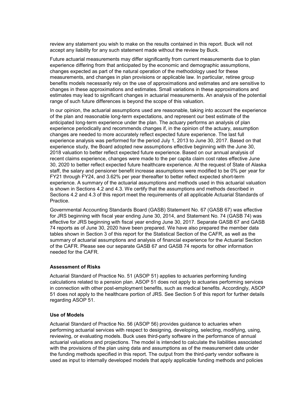review any statement you wish to make on the results contained in this report. Buck will not accept any liability for any such statement made without the review by Buck.

Future actuarial measurements may differ significantly from current measurements due to plan experience differing from that anticipated by the economic and demographic assumptions, changes expected as part of the natural operation of the methodology used for these measurements, and changes in plan provisions or applicable law. In particular, retiree group benefits models necessarily rely on the use of approximations and estimates and are sensitive to changes in these approximations and estimates. Small variations in these approximations and estimates may lead to significant changes in actuarial measurements. An analysis of the potential range of such future differences is beyond the scope of this valuation.

In our opinion, the actuarial assumptions used are reasonable, taking into account the experience of the plan and reasonable long-term expectations, and represent our best estimate of the anticipated long-term experience under the plan. The actuary performs an analysis of plan experience periodically and recommends changes if, in the opinion of the actuary, assumption changes are needed to more accurately reflect expected future experience. The last full experience analysis was performed for the period July 1, 2013 to June 30, 2017. Based on that experience study, the Board adopted new assumptions effective beginning with the June 30, 2018 valuation to better reflect expected future experience. Based on our annual analysis of recent claims experience, changes were made to the per capita claim cost rates effective June 30, 2020 to better reflect expected future healthcare experience. At the request of State of Alaska staff, the salary and pensioner benefit increase assumptions were modified to be 0% per year for FY21 through FY24, and 3.62% per year thereafter to better reflect expected short-term experience. A summary of the actuarial assumptions and methods used in this actuarial valuation is shown in Sections 4.2 and 4.3. We certify that the assumptions and methods described in Sections 4.2 and 4.3 of this report meet the requirements of all applicable Actuarial Standards of Practice.

Governmental Accounting Standards Board (GASB) Statement No. 67 (GASB 67) was effective for JRS beginning with fiscal year ending June 30, 2014, and Statement No. 74 (GASB 74) was effective for JRS beginning with fiscal year ending June 30, 2017. Separate GASB 67 and GASB 74 reports as of June 30, 2020 have been prepared. We have also prepared the member data tables shown in Section 3 of this report for the Statistical Section of the CAFR, as well as the summary of actuarial assumptions and analysis of financial experience for the Actuarial Section of the CAFR. Please see our separate GASB 67 and GASB 74 reports for other information needed for the CAFR.

#### **Assessment of Risks**

Actuarial Standard of Practice No. 51 (ASOP 51) applies to actuaries performing funding calculations related to a pension plan. ASOP 51 does not apply to actuaries performing services in connection with other post-employment benefits, such as medical benefits. Accordingly, ASOP 51 does not apply to the healthcare portion of JRS. See Section 5 of this report for further details regarding ASOP 51.

#### **Use of Models**

Actuarial Standard of Practice No. 56 (ASOP 56) provides guidance to actuaries when performing actuarial services with respect to designing, developing, selecting, modifying, using, reviewing, or evaluating models. Buck uses third-party software in the performance of annual actuarial valuations and projections. The model is intended to calculate the liabilities associated with the provisions of the plan using data and assumptions as of the measurement date under the funding methods specified in this report. The output from the third-party vendor software is used as input to internally developed models that apply applicable funding methods and policies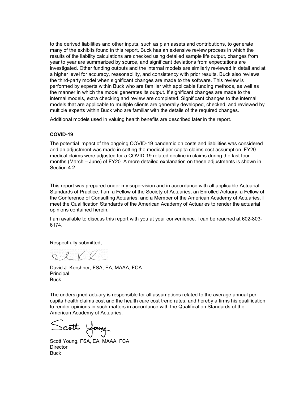to the derived liabilities and other inputs, such as plan assets and contributions, to generate many of the exhibits found in this report. Buck has an extensive review process in which the results of the liability calculations are checked using detailed sample life output, changes from year to year are summarized by source, and significant deviations from expectations are investigated. Other funding outputs and the internal models are similarly reviewed in detail and at a higher level for accuracy, reasonability, and consistency with prior results. Buck also reviews the third-party model when significant changes are made to the software. This review is performed by experts within Buck who are familiar with applicable funding methods, as well as the manner in which the model generates its output. If significant changes are made to the internal models, extra checking and review are completed. Significant changes to the internal models that are applicable to multiple clients are generally developed, checked, and reviewed by multiple experts within Buck who are familiar with the details of the required changes.

Additional models used in valuing health benefits are described later in the report.

#### **COVID-19**

The potential impact of the ongoing COVID-19 pandemic on costs and liabilities was considered and an adjustment was made in setting the medical per capita claims cost assumption. FY20 medical claims were adjusted for a COVID-19 related decline in claims during the last four months (March – June) of FY20. A more detailed explanation on these adjustments is shown in Section 4.2.

This report was prepared under my supervision and in accordance with all applicable Actuarial Standards of Practice. I am a Fellow of the Society of Actuaries, an Enrolled Actuary, a Fellow of the Conference of Consulting Actuaries, and a Member of the American Academy of Actuaries. I meet the Qualification Standards of the American Academy of Actuaries to render the actuarial opinions contained herein.

I am available to discuss this report with you at your convenience. I can be reached at 602-803- 6174.

Respectfully submitted,

SCKR

David J. Kershner, FSA, EA, MAAA, FCA Principal Buck

The undersigned actuary is responsible for all assumptions related to the average annual per capita health claims cost and the health care cost trend rates, and hereby affirms his qualification to render opinions in such matters in accordance with the Qualification Standards of the American Academy of Actuaries.

Scott Young

Scott Young, FSA, EA, MAAA, FCA **Director Buck**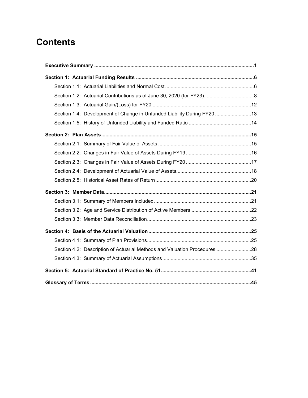# **Contents**

| Section 1.4: Development of Change in Unfunded Liability During FY20 13   |  |
|---------------------------------------------------------------------------|--|
|                                                                           |  |
|                                                                           |  |
|                                                                           |  |
|                                                                           |  |
|                                                                           |  |
|                                                                           |  |
|                                                                           |  |
|                                                                           |  |
|                                                                           |  |
|                                                                           |  |
|                                                                           |  |
|                                                                           |  |
|                                                                           |  |
| Section 4.2: Description of Actuarial Methods and Valuation Procedures 28 |  |
|                                                                           |  |
|                                                                           |  |
|                                                                           |  |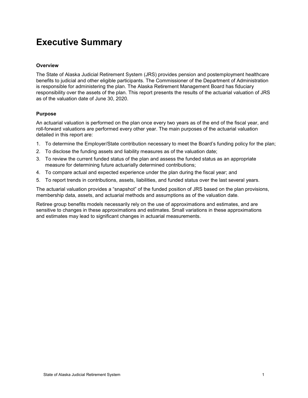# <span id="page-5-0"></span>**Executive Summary**

#### **Overview**

The State of Alaska Judicial Retirement System (JRS) provides pension and postemployment healthcare benefits to judicial and other eligible participants. The Commissioner of the Department of Administration is responsible for administering the plan. The Alaska Retirement Management Board has fiduciary responsibility over the assets of the plan. This report presents the results of the actuarial valuation of JRS as of the valuation date of June 30, 2020.

#### **Purpose**

An actuarial valuation is performed on the plan once every two years as of the end of the fiscal year, and roll-forward valuations are performed every other year. The main purposes of the actuarial valuation detailed in this report are:

- 1. To determine the Employer/State contribution necessary to meet the Board's funding policy for the plan;
- 2. To disclose the funding assets and liability measures as of the valuation date;
- 3. To review the current funded status of the plan and assess the funded status as an appropriate measure for determining future actuarially determined contributions;
- 4. To compare actual and expected experience under the plan during the fiscal year; and
- 5. To report trends in contributions, assets, liabilities, and funded status over the last several years.

The actuarial valuation provides a "snapshot" of the funded position of JRS based on the plan provisions, membership data, assets, and actuarial methods and assumptions as of the valuation date.

Retiree group benefits models necessarily rely on the use of approximations and estimates, and are sensitive to changes in these approximations and estimates. Small variations in these approximations and estimates may lead to significant changes in actuarial measurements.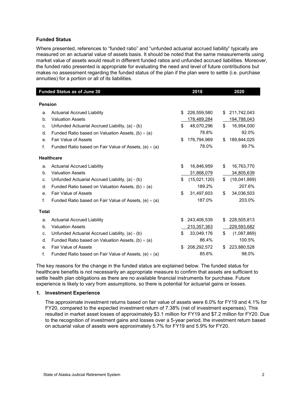#### **Funded Status**

Where presented, references to "funded ratio" and "unfunded actuarial accrued liability" typically are measured on an actuarial value of assets basis. It should be noted that the same measurements using market value of assets would result in different funded ratios and unfunded accrued liabilities. Moreover, the funded ratio presented is appropriate for evaluating the need and level of future contributions but makes no assessment regarding the funded status of the plan if the plan were to settle (i.e. purchase annuities) for a portion or all of its liabilities.

|                | <b>Funded Status as of June 30</b>                         |    | 2018         | 2020               |
|----------------|------------------------------------------------------------|----|--------------|--------------------|
|                |                                                            |    |              |                    |
| <b>Pension</b> |                                                            |    |              |                    |
| a.             | <b>Actuarial Accrued Liability</b>                         | \$ | 226,559,580  | \$<br>211,742,043  |
| $b$ .          | <b>Valuation Assets</b>                                    |    | 178,489,284  | 194,788,043        |
| C.             | Unfunded Actuarial Accrued Liability, (a) - (b)            | \$ | 48,070,296   | \$<br>16,954,000   |
| d.             | Funded Ratio based on Valuation Assets, $(b) \div (a)$     |    | 78.8%        | 92.0%              |
| е.             | <b>Fair Value of Assets</b>                                | \$ | 176,794,969  | \$<br>189,844,025  |
| f.             | Funded Ratio based on Fair Value of Assets, $(e) \div (a)$ |    | 78.0%        | 89.7%              |
|                | <b>Healthcare</b>                                          |    |              |                    |
| a.             | <b>Actuarial Accrued Liability</b>                         | \$ | 16,846,959   | \$<br>16,763,770   |
| $b$ .          | <b>Valuation Assets</b>                                    |    | 31,868,079   | 34,805,639         |
| c.             | Unfunded Actuarial Accrued Liability, (a) - (b)            | \$ | (15,021,120) | \$<br>(18,041,869) |
| d.             | Funded Ratio based on Valuation Assets, $(b) \div (a)$     |    | 189.2%       | 207.6%             |
| е.             | <b>Fair Value of Assets</b>                                | \$ | 31,497,603   | \$<br>34,036,503   |
| f.             | Funded Ratio based on Fair Value of Assets, $(e) \div (a)$ |    | 187.0%       | 203.0%             |
| <b>Total</b>   |                                                            |    |              |                    |
| a.             | <b>Actuarial Accrued Liability</b>                         | \$ | 243,406,539  | \$<br>228,505,813  |
| b.             | <b>Valuation Assets</b>                                    |    | 210,357,363  | 229,593,682        |
| c.             | Unfunded Actuarial Accrued Liability, (a) - (b)            | \$ | 33,049,176   | \$<br>(1,087,869)  |
| d.             | Funded Ratio based on Valuation Assets, $(b) \div (a)$     |    | 86.4%        | 100.5%             |
| е.             | <b>Fair Value of Assets</b>                                | \$ | 208,292,572  | \$<br>223,880,528  |
| f.             | Funded Ratio based on Fair Value of Assets, $(e) \div (a)$ |    | 85.6%        | 98.0%              |

The key reasons for the change in the funded status are explained below. The funded status for healthcare benefits is not necessarily an appropriate measure to confirm that assets are sufficient to settle health plan obligations as there are no available financial instruments for purchase. Future experience is likely to vary from assumptions, so there is potential for actuarial gains or losses.

#### **1. Investment Experience**

The approximate investment returns based on fair value of assets were 6.0% for FY19 and 4.1% for FY20, compared to the expected investment return of 7.38% (net of investment expenses). This resulted in market asset losses of approximately \$3.1 million for FY19 and \$7.2 million for FY20. Due to the recognition of investment gains and losses over a 5-year period, the investment return based on actuarial value of assets were approximately 5.7% for FY19 and 5.9% for FY20.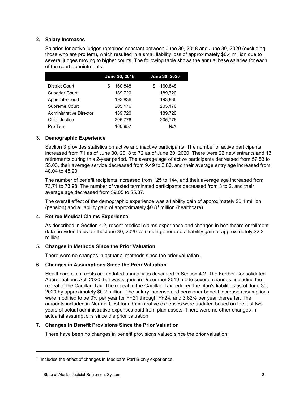#### **2. Salary Increases**

Salaries for active judges remained constant between June 30, 2018 and June 30, 2020 (excluding those who are pro tem), which resulted in a small liability loss of approximately \$0.4 million due to several judges moving to higher courts. The following table shows the annual base salaries for each of the court appointments:

|                                | June 30, 2018 | June 30, 2020 |
|--------------------------------|---------------|---------------|
| <b>District Court</b>          | 160.848<br>S  | 160,848<br>S  |
| <b>Superior Court</b>          | 189,720       | 189,720       |
| Appellate Court                | 193,836       | 193,836       |
| Supreme Court                  | 205,176       | 205,176       |
| <b>Administrative Director</b> | 189.720       | 189,720       |
| <b>Chief Justice</b>           | 205,776       | 205,776       |
| Pro Tem                        | 160.857       | N/A           |

#### **3. Demographic Experience**

Section 3 provides statistics on active and inactive participants. The number of active participants increased from 71 as of June 30, 2018 to 72 as of June 30, 2020. There were 22 new entrants and 18 retirements during this 2-year period. The average age of active participants decreased from 57.53 to 55.03, their average service decreased from 9.49 to 6.83, and their average entry age increased from 48.04 to 48.20.

The number of benefit recipients increased from 125 to 144, and their average age increased from 73.71 to 73.98. The number of vested terminated participants decreased from 3 to 2, and their average age decreased from 59.05 to 55.87.

The overall effect of the demographic experience was a liability gain of approximately \$0.4 million (pension) and a liability gain of approximately \$0.8<sup>[1](#page-7-0)</sup> million (healthcare).

#### **4. Retiree Medical Claims Experience**

As described in Section 4.2, recent medical claims experience and changes in healthcare enrollment data provided to us for the June 30, 2020 valuation generated a liability gain of approximately \$2.3 million.

#### **5. Changes in Methods Since the Prior Valuation**

There were no changes in actuarial methods since the prior valuation.

#### **6. Changes in Assumptions Since the Prior Valuation**

Healthcare claim costs are updated annually as described in Section 4.2. The Further Consolidated Appropriations Act, 2020 that was signed in December 2019 made several changes, including the repeal of the Cadillac Tax. The repeal of the Cadillac Tax reduced the plan's liabilities as of June 30, 2020 by approximately \$0.2 million. The salary increase and pensioner benefit increase assumptions were modified to be 0% per year for FY21 through FY24, and 3.62% per year thereafter. The amounts included in Normal Cost for administrative expenses were updated based on the last two years of actual administrative expenses paid from plan assets. There were no other changes in actuarial assumptions since the prior valuation.

#### **7. Changes in Benefit Provisions Since the Prior Valuation**

There have been no changes in benefit provisions valued since the prior valuation.

-

<span id="page-7-0"></span> $1$  Includes the effect of changes in Medicare Part B only experience.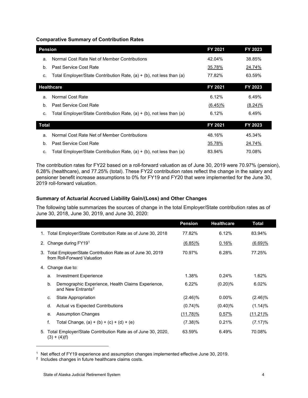#### **Comparative Summary of Contribution Rates**

| <b>Pension</b> |                                                                      | FY 2021    | FY 2023    |
|----------------|----------------------------------------------------------------------|------------|------------|
| a.             | Normal Cost Rate Net of Member Contributions                         | 42.04%     | 38.85%     |
| b.             | Past Service Cost Rate                                               | 35.78%     | 24.74%     |
| c.             | Total Employer/State Contribution Rate, (a) + (b), not less than (a) | 77.82%     | 63.59%     |
|                | <b>Healthcare</b>                                                    | FY 2021    | FY 2023    |
| a.             | Normal Cost Rate                                                     | 6.12%      | 6.49%      |
| b.             | Past Service Cost Rate                                               | $(6.45)\%$ | $(8.24)\%$ |
| C.             | Total Employer/State Contribution Rate, (a) + (b), not less than (a) | 6.12%      | 6.49%      |
| Total          |                                                                      | FY 2021    | FY 2023    |
| a.             | Normal Cost Rate Net of Member Contributions                         | 48.16%     | 45.34%     |
| b.             | Past Service Cost Rate                                               | 35.78%     | 24.74%     |
| C.             | Total Employer/State Contribution Rate, (a) + (b), not less than (a) | 83.94%     | 70.08%     |

The contribution rates for FY22 based on a roll-forward valuation as of June 30, 2019 were 70.97% (pension), 6.28% (healthcare), and 77.25% (total). These FY22 contribution rates reflect the change in the salary and pensioner benefit increase assumptions to 0% for FY19 and FY20 that were implemented for the June 30, 2019 roll-forward valuation.

#### **Summary of Actuarial Accrued Liability Gain/(Loss) and Other Changes**

The following table summarizes the sources of change in the total Employer/State contribution rates as of June 30, 2018, June 30, 2019, and June 30, 2020:

|    |                |                                                                                           | <b>Pension</b> | <b>Healthcare</b> | Total       |
|----|----------------|-------------------------------------------------------------------------------------------|----------------|-------------------|-------------|
|    |                | 1. Total Employer/State Contribution Rate as of June 30, 2018                             | 77.82%         | 6.12%             | 83.94%      |
| 2. |                | Change during FY191                                                                       | $(6.85)\%$     | 0.16%             | $(6.69)$ %  |
| 3. |                | Total Employer/State Contribution Rate as of June 30, 2019<br>from Roll-Forward Valuation | 70.97%         | 6.28%             | 77.25%      |
| 4. |                | Change due to:                                                                            |                |                   |             |
|    | a.             | <b>Investment Experience</b>                                                              | 1.38%          | 0.24%             | 1.62%       |
|    | b.             | Demographic Experience, Health Claims Experience,<br>and New Entrants <sup>2</sup>        | 6.22%          | $(0.20)$ %        | 6.02%       |
|    | C.             | State Appropriation                                                                       | $(2.46)\%$     | $0.00\%$          | $(2.46)\%$  |
|    | d.             | Actual vs Expected Contributions                                                          | $(0.74)$ %     | $(0.40)\%$        | (1.14)%     |
|    | е.             | <b>Assumption Changes</b>                                                                 | $(11.78)\%$    | 0.57%             | $(11.21)\%$ |
|    | f.             | Total Change, $(a) + (b) + (c) + (d) + (e)$                                               | $(7.38)\%$     | 0.21%             | $(7.17)\%$  |
| 5. | $(3) + (4)(f)$ | Total Employer/State Contribution Rate as of June 30, 2020,                               | 63.59%         | 6.49%             | 70.08%      |

<span id="page-8-0"></span><sup>1</sup> Net effect of FY19 experience and assumption changes implemented effective June 30, 2019.

-

<span id="page-8-1"></span><sup>2</sup> Includes changes in future healthcare claims costs.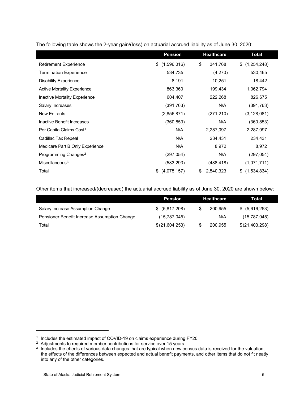|                                     | <b>Pension</b>    | <b>Healthcare</b> | Total              |
|-------------------------------------|-------------------|-------------------|--------------------|
| <b>Retirement Experience</b>        | (1,596,016)<br>\$ | \$<br>341,768     | \$<br>(1,254,248)  |
| <b>Termination Experience</b>       | 534,735           | (4,270)           | 530,465            |
| <b>Disability Experience</b>        | 8,191             | 10,251            | 18,442             |
| <b>Active Mortality Experience</b>  | 863,360           | 199,434           | 1,062,794          |
| Inactive Mortality Experience       | 604,407           | 222,268           | 826,675            |
| Salary Increases                    | (391, 763)        | N/A               | (391, 763)         |
| <b>New Entrants</b>                 | (2,856,871)       | (271, 210)        | (3, 128, 081)      |
| Inactive Benefit Increases          | (360, 853)        | N/A               | (360, 853)         |
| Per Capita Claims Cost <sup>1</sup> | N/A               | 2,287,097         | 2,287,097          |
| Cadillac Tax Repeal                 | N/A               | 234,431           | 234,431            |
| Medicare Part B Only Experience     | N/A               | 8,972             | 8,972              |
| Programming Changes <sup>2</sup>    | (297,054)         | N/A               | (297, 054)         |
| Miscellaneous $3$                   | (583,293)         | <u>(488,418)</u>  | <u>(1,071,711)</u> |
| Total                               | \$<br>(4,075,157) | 2,540,323<br>\$   | (1,534,834)<br>\$  |

The following table shows the 2-year gain/(loss) on actuarial accrued liability as of June 30, 2020:

Other items that increased/(decreased) the actuarial accrued liability as of June 30, 2020 are shown below:

|                                              | <b>Pension</b>     | <b>Healthcare</b> | Total          |  |
|----------------------------------------------|--------------------|-------------------|----------------|--|
| Salary Increase Assumption Change            | $$^{(5,817,208)}$$ | 200.955           | \$ (5,616,253) |  |
| Pensioner Benefit Increase Assumption Change | (15,787,045)       | N/A               | (15,787,045)   |  |
| Total                                        | \$(21,604,253)     | 200.955           | \$(21,403,298) |  |

j

<span id="page-9-0"></span><sup>&</sup>lt;sup>1</sup> Includes the estimated impact of COVID-19 on claims experience during FY20.

<span id="page-9-1"></span><sup>&</sup>lt;sup>2</sup> Adjustments to required member contributions for service over 15 years.

<span id="page-9-2"></span><sup>&</sup>lt;sup>3</sup> Includes the effects of various data changes that are typical when new census data is received for the valuation, the effects of the differences between expected and actual benefit payments, and other items that do not fit neatly into any of the other categories.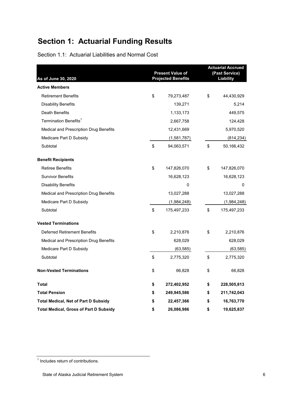# **Section 1: Actuarial Funding Results**

| Section 1.1: Actuarial Liabilities and Normal Cost |  |  |  |
|----------------------------------------------------|--|--|--|
|                                                    |  |  |  |

| As of June 30, 2020                           | <b>Present Value of</b><br><b>Projected Benefits</b> | <b>Actuarial Accrued</b><br>(Past Service)<br>Liability |             |  |
|-----------------------------------------------|------------------------------------------------------|---------------------------------------------------------|-------------|--|
| <b>Active Members</b>                         |                                                      |                                                         |             |  |
| <b>Retirement Benefits</b>                    | \$<br>79,273,487                                     | \$                                                      | 44,430,929  |  |
| <b>Disability Benefits</b>                    | 139,271                                              |                                                         | 5,214       |  |
| Death Benefits                                | 1,133,173                                            |                                                         | 449,575     |  |
| Termination Benefits <sup>1</sup>             | 2,667,758                                            |                                                         | 124,428     |  |
| Medical and Prescription Drug Benefits        | 12,431,669                                           |                                                         | 5,970,520   |  |
| Medicare Part D Subsidy                       | (1,581,787)                                          |                                                         | (814, 234)  |  |
| Subtotal                                      | \$<br>94,063,571                                     | \$                                                      | 50,166,432  |  |
| <b>Benefit Recipients</b>                     |                                                      |                                                         |             |  |
| <b>Retiree Benefits</b>                       | \$<br>147,826,070                                    | \$                                                      | 147,826,070 |  |
| <b>Survivor Benefits</b>                      | 16,628,123                                           |                                                         | 16,628,123  |  |
| <b>Disability Benefits</b>                    | 0                                                    |                                                         | 0           |  |
| Medical and Prescription Drug Benefits        | 13,027,288                                           |                                                         | 13,027,288  |  |
| Medicare Part D Subsidy                       | (1,984,248)                                          |                                                         | (1,984,248) |  |
| Subtotal                                      | \$<br>175,497,233                                    | \$                                                      | 175,497,233 |  |
| <b>Vested Terminations</b>                    |                                                      |                                                         |             |  |
| Deferred Retirement Benefits                  | \$<br>2,210,876                                      | \$                                                      | 2,210,876   |  |
| Medical and Prescription Drug Benefits        | 628,029                                              |                                                         | 628,029     |  |
| Medicare Part D Subsidy                       | (63, 585)                                            |                                                         | (63, 585)   |  |
| Subtotal                                      | \$<br>2,775,320                                      | \$                                                      | 2,775,320   |  |
| <b>Non-Vested Terminations</b>                | \$<br>66,828                                         | \$                                                      | 66,828      |  |
| Total                                         | \$<br>272,402,952                                    | \$                                                      | 228,505,813 |  |
| <b>Total Pension</b>                          | \$<br>249,945,586                                    | \$                                                      | 211,742,043 |  |
| <b>Total Medical, Net of Part D Subsidy</b>   | \$<br>22,457,366                                     | \$                                                      | 16,763,770  |  |
| <b>Total Medical, Gross of Part D Subsidy</b> | \$<br>26,086,986                                     | \$                                                      | 19,625,837  |  |

<sup>1</sup> Includes return of contributions.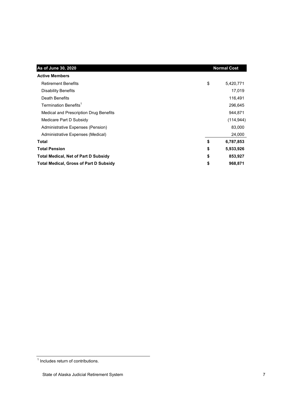| As of June 30, 2020                           | <b>Normal Cost</b> |            |
|-----------------------------------------------|--------------------|------------|
| <b>Active Members</b>                         |                    |            |
| <b>Retirement Benefits</b>                    | \$                 | 5,420,771  |
| <b>Disability Benefits</b>                    |                    | 17,019     |
| Death Benefits                                |                    | 116,491    |
| Termination Benefits <sup>1</sup>             |                    | 296,645    |
| Medical and Prescription Drug Benefits        |                    | 944,871    |
| Medicare Part D Subsidy                       |                    | (114, 944) |
| Administrative Expenses (Pension)             |                    | 83,000     |
| Administrative Expenses (Medical)             |                    | 24,000     |
| Total                                         | \$                 | 6,787,853  |
| <b>Total Pension</b>                          | \$                 | 5,933,926  |
| <b>Total Medical, Net of Part D Subsidy</b>   | 853,927            |            |
| <b>Total Medical, Gross of Part D Subsidy</b> | 968,871            |            |

<sup>&</sup>lt;sup>1</sup> Includes return of contributions.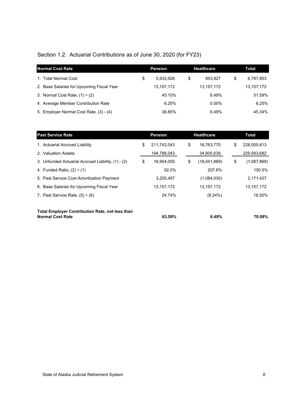## Section 1.2: Actuarial Contributions as of June 30, 2020 (for FY23)

| <b>Normal Cost Rate</b>                   |    | <b>Pension</b> |    | <b>Healthcare</b> |    | Total        |
|-------------------------------------------|----|----------------|----|-------------------|----|--------------|
| 1. Total Normal Cost                      | \$ | 5.933.926      | \$ | 853.927           | \$ | 6,787,853    |
| 2. Base Salaries for Upcoming Fiscal Year |    | 13, 157, 172   |    | 13,157,172        |    | 13, 157, 172 |
| 3. Normal Cost Rate, $(1) \div (2)$       |    | 45.10%         |    | 6.49%             |    | 51.59%       |
| 4. Average Member Contribution Rate       |    | 6.25%          |    | $0.00\%$          |    | 6.25%        |
| 5. Employer Normal Cost Rate, (3) - (4)   |    | 38.85%         |    | 6.49%             |    | 45.34%       |

| <b>Past Service Rate</b>                                                          |    | <b>Pension</b> |    | <b>Healthcare</b> |    | <b>Total</b> |
|-----------------------------------------------------------------------------------|----|----------------|----|-------------------|----|--------------|
| 1. Actuarial Accrued Liability                                                    | \$ | 211,742,043    | \$ | 16,763,770        | \$ | 228,505,813  |
| 2. Valuation Assets                                                               |    | 194,788,043    |    | 34,805,639        |    | 229,593,682  |
| 3. Unfunded Actuarial Accrued Liability, (1) - (2)                                | \$ | 16,954,000     | \$ | (18,041,869)      | \$ | (1,087,869)  |
| 4. Funded Ratio, $(2) \div (1)$                                                   |    | 92.0%          |    | 207.6%            |    | 100.5%       |
| 5. Past Service Cost Amortization Payment                                         |    | 3,255,457      |    | (1,084,030)       |    | 2,171,427    |
| 6. Base Salaries for Upcoming Fiscal Year                                         |    | 13,157,172     |    | 13, 157, 172      |    | 13, 157, 172 |
| 7. Past Service Rate, $(5) \div (6)$                                              |    | 24.74%         |    | $(8.24\%)$        |    | 16.50%       |
|                                                                                   |    |                |    |                   |    |              |
| <b>Total Employer Contribution Rate, not less than</b><br><b>Normal Cost Rate</b> |    | 63.59%         |    | 6.49%             |    | 70.08%       |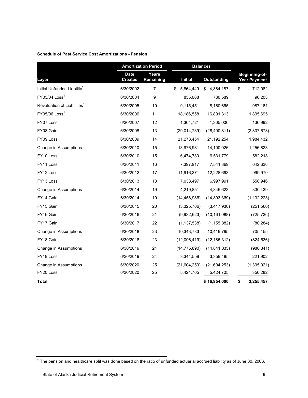#### **Schedule of Past Service Cost Amortizations - Pension**

|                                         |                               | <b>Amortization Period</b><br><b>Balances</b> |                 |                 |                                      |
|-----------------------------------------|-------------------------------|-----------------------------------------------|-----------------|-----------------|--------------------------------------|
| Layer                                   | <b>Date</b><br><b>Created</b> | <b>Years</b><br>Remaining                     | <b>Initial</b>  | Outstanding     | Beginning-of-<br><b>Year Payment</b> |
| Initial Unfunded Liability <sup>1</sup> | 6/30/2002                     | 7                                             | \$<br>5,864,449 | \$<br>4,384,187 | \$<br>712,082                        |
| $FY03/04$ Loss <sup>1</sup>             | 6/30/2004                     | 9                                             | 855,068         | 730,589         | 96,203                               |
| Revaluation of Liabilities <sup>1</sup> | 6/30/2005                     | 10                                            | 9,115,451       | 8,160,665       | 987,161                              |
| $FY05/06$ Loss <sup>1</sup>             | 6/30/2006                     | 11                                            | 18,186,558      | 16,891,313      | 1,895,695                            |
| FY07 Loss                               | 6/30/2007                     | 12                                            | 1,364,721       | 1,305,006       | 136,992                              |
| FY08 Gain                               | 6/30/2008                     | 13                                            | (29,014,739)    | (28,400,811)    | (2,807,678)                          |
| FY09 Loss                               | 6/30/2009                     | 14                                            | 21,273,454      | 21,192,254      | 1,984,432                            |
| Change in Assumptions                   | 6/30/2010                     | 15                                            | 13,976,981      | 14,100,026      | 1,256,823                            |
| FY10 Loss                               | 6/30/2010                     | 15                                            | 6,474,780       | 6,531,779       | 582,218                              |
| FY11 Loss                               | 6/30/2011                     | 16                                            | 7,397,917       | 7,541,369       | 642,636                              |
| FY <sub>12</sub> Loss                   | 6/30/2012                     | 17                                            | 11,916,371      | 12,228,693      | 999,970                              |
| FY13 Loss                               | 6/30/2013                     | 18                                            | 7,033,497       | 6,997,991       | 550,946                              |
| Change in Assumptions                   | 6/30/2014                     | 19                                            | 4,219,851       | 4,346,623       | 330,439                              |
| FY14 Gain                               | 6/30/2014                     | 19                                            | (14, 458, 986)  | (14, 893, 369)  | (1, 132, 223)                        |
| FY15 Gain                               | 6/30/2015                     | 20                                            | (3,325,706)     | (3,417,930)     | (251, 560)                           |
| FY16 Gain                               | 6/30/2016                     | 21                                            | (9,932,623)     | (10, 161, 088)  | (725, 736)                           |
| FY17 Gain                               | 6/30/2017                     | 22                                            | (1, 137, 538)   | (1, 155, 882)   | (80, 284)                            |
| Change in Assumptions                   | 6/30/2018                     | 23                                            | 10,343,783      | 10,419,795      | 705,155                              |
| FY18 Gain                               | 6/30/2018                     | 23                                            | (12,096,419)    | (12, 185, 312)  | (824, 636)                           |
| Change in Assumptions                   | 6/30/2019                     | 24                                            | (14, 775, 890)  | (14, 841, 835)  | (980, 341)                           |
| FY19 Loss                               | 6/30/2019                     | 24                                            | 3,344,559       | 3,359,485       | 221,902                              |
| Change in Assumptions                   | 6/30/2020                     | 25                                            | (21, 604, 253)  | (21, 604, 253)  | (1,395,021)                          |
| FY20 Loss                               | 6/30/2020                     | 25                                            | 5,424,705       | 5,424,705       | 350,282                              |
| <b>Total</b>                            |                               |                                               |                 | \$16,954,000    | \$<br>3,255,457                      |

 $^{\rm 1}$  The pension and healthcare split was done based on the ratio of unfunded actuarial accrued liability as of June 30, 2006.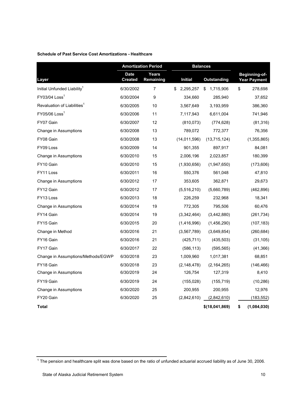#### **Schedule of Past Service Cost Amortizations - Healthcare**

|                                         |                               | <b>Amortization Period</b> |                 | <b>Balances</b>    |                                      |
|-----------------------------------------|-------------------------------|----------------------------|-----------------|--------------------|--------------------------------------|
| Layer                                   | <b>Date</b><br><b>Created</b> | Years<br>Remaining         | <b>Initial</b>  | <b>Outstanding</b> | Beginning-of-<br><b>Year Payment</b> |
| Initial Unfunded Liability <sup>1</sup> | 6/30/2002                     | 7                          | \$<br>2,295,257 | \$<br>1,715,906    | \$<br>278,698                        |
| FY03/04 Loss <sup>1</sup>               | 6/30/2004                     | 9                          | 334,660         | 285,940            | 37,652                               |
| Revaluation of Liabilities <sup>1</sup> | 6/30/2005                     | 10                         | 3,567,649       | 3,193,959          | 386,360                              |
| $FY05/06$ Loss <sup>1</sup>             | 6/30/2006                     | 11                         | 7,117,943       | 6,611,004          | 741,946                              |
| FY07 Gain                               | 6/30/2007                     | 12                         | (810, 073)      | (774, 628)         | (81, 316)                            |
| Change in Assumptions                   | 6/30/2008                     | 13                         | 789,072         | 772,377            | 76,356                               |
| FY08 Gain                               | 6/30/2008                     | 13                         | (14,011,596)    | (13, 715, 124)     | (1, 355, 865)                        |
| FY09 Loss                               | 6/30/2009                     | 14                         | 901,355         | 897,917            | 84,081                               |
| Change in Assumptions                   | 6/30/2010                     | 15                         | 2,006,196       | 2,023,857          | 180,399                              |
| FY10 Gain                               | 6/30/2010                     | 15                         | (1,930,656)     | (1,947,650)        | (173, 606)                           |
| FY11 Loss                               | 6/30/2011                     | 16                         | 550,376         | 561,048            | 47,810                               |
| Change in Assumptions                   | 6/30/2012                     | 17                         | 353,605         | 362,871            | 29,673                               |
| FY12 Gain                               | 6/30/2012                     | 17                         | (5,516,210)     | (5,660,789)        | (462, 896)                           |
| FY13 Loss                               | 6/30/2013                     | 18                         | 226,259         | 232,968            | 18,341                               |
| Change in Assumptions                   | 6/30/2014                     | 19                         | 772,305         | 795,506            | 60,476                               |
| FY14 Gain                               | 6/30/2014                     | 19                         | (3,342,464)     | (3,442,880)        | (261, 734)                           |
| FY15 Gain                               | 6/30/2015                     | 20                         | (1,416,996)     | (1,456,290)        | (107, 183)                           |
| Change in Method                        | 6/30/2016                     | 21                         | (3, 567, 789)   | (3,649,854)        | (260, 684)                           |
| FY16 Gain                               | 6/30/2016                     | 21                         | (425, 711)      | (435, 503)         | (31, 105)                            |
| FY17 Gain                               | 6/30/2017                     | 22                         | (586, 113)      | (595, 565)         | (41, 366)                            |
| Change in Assumptions/Methods/EGWP      | 6/30/2018                     | 23                         | 1,009,960       | 1,017,381          | 68,851                               |
| FY18 Gain                               | 6/30/2018                     | 23                         | (2, 148, 478)   | (2, 164, 265)      | (146, 466)                           |
| Change in Assumptions                   | 6/30/2019                     | 24                         | 126,754         | 127,319            | 8,410                                |
| FY19 Gain                               | 6/30/2019                     | 24                         | (155, 028)      | (155, 719)         | (10, 286)                            |
| Change in Assumptions                   | 6/30/2020                     | 25                         | 200,955         | 200,955            | 12,976                               |
| FY20 Gain                               | 6/30/2020                     | 25                         | (2,842,610)     | (2,842,610)        | (183, 552)                           |
| Total                                   |                               |                            |                 | \$(18,041,869)     | \$<br>(1,084,030)                    |

 $^{\rm 1}$  The pension and healthcare split was done based on the ratio of unfunded actuarial accrued liability as of June 30, 2006.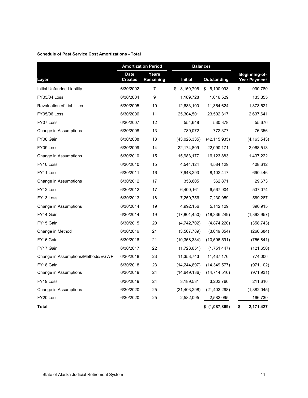#### **Schedule of Past Service Cost Amortizations - Total**

|                                    |                               | <b>Amortization Period</b> |                 | <b>Balances</b>    |    |                                      |
|------------------------------------|-------------------------------|----------------------------|-----------------|--------------------|----|--------------------------------------|
| Layer                              | <b>Date</b><br><b>Created</b> | <b>Years</b><br>Remaining  | <b>Initial</b>  | <b>Outstanding</b> |    | Beginning-of-<br><b>Year Payment</b> |
| Initial Unfunded Liability         | 6/30/2002                     | 7                          | 8,159,706<br>\$ | 6,100,093<br>\$    | \$ | 990,780                              |
| FY03/04 Loss                       | 6/30/2004                     | 9                          | 1,189,728       | 1,016,529          |    | 133,855                              |
| <b>Revaluation of Liabilities</b>  | 6/30/2005                     | 10                         | 12,683,100      | 11,354,624         |    | 1,373,521                            |
| <b>FY05/06 Loss</b>                | 6/30/2006                     | 11                         | 25,304,501      | 23,502,317         |    | 2,637,641                            |
| FY07 Loss                          | 6/30/2007                     | 12                         | 554,648         | 530,378            |    | 55,676                               |
| Change in Assumptions              | 6/30/2008                     | 13                         | 789,072         | 772,377            |    | 76,356                               |
| FY08 Gain                          | 6/30/2008                     | 13                         | (43,026,335)    | (42, 115, 935)     |    | (4, 163, 543)                        |
| FY09 Loss                          | 6/30/2009                     | 14                         | 22,174,809      | 22,090,171         |    | 2,068,513                            |
| Change in Assumptions              | 6/30/2010                     | 15                         | 15,983,177      | 16,123,883         |    | 1,437,222                            |
| FY10 Loss                          | 6/30/2010                     | 15                         | 4,544,124       | 4,584,129          |    | 408,612                              |
| FY11 Loss                          | 6/30/2011                     | 16                         | 7,948,293       | 8,102,417          |    | 690,446                              |
| Change in Assumptions              | 6/30/2012                     | 17                         | 353,605         | 362,871            |    | 29,673                               |
| FY12 Loss                          | 6/30/2012                     | 17                         | 6,400,161       | 6,567,904          |    | 537,074                              |
| FY13 Loss                          | 6/30/2013                     | 18                         | 7,259,756       | 7,230,959          |    | 569,287                              |
| Change in Assumptions              | 6/30/2014                     | 19                         | 4,992,156       | 5,142,129          |    | 390,915                              |
| FY14 Gain                          | 6/30/2014                     | 19                         | (17,801,450)    | (18, 336, 249)     |    | (1, 393, 957)                        |
| FY15 Gain                          | 6/30/2015                     | 20                         | (4,742,702)     | (4,874,220)        |    | (358, 743)                           |
| Change in Method                   | 6/30/2016                     | 21                         | (3, 567, 789)   | (3,649,854)        |    | (260, 684)                           |
| FY16 Gain                          | 6/30/2016                     | 21                         | (10, 358, 334)  | (10, 596, 591)     |    | (756, 841)                           |
| FY17 Gain                          | 6/30/2017                     | 22                         | (1,723,651)     | (1,751,447)        |    | (121, 650)                           |
| Change in Assumptions/Methods/EGWP | 6/30/2018                     | 23                         | 11,353,743      | 11,437,176         |    | 774,006                              |
| FY18 Gain                          | 6/30/2018                     | 23                         | (14, 244, 897)  | (14, 349, 577)     |    | (971, 102)                           |
| Change in Assumptions              | 6/30/2019                     | 24                         | (14, 649, 136)  | (14, 714, 516)     |    | (971, 931)                           |
| FY19 Loss                          | 6/30/2019                     | 24                         | 3,189,531       | 3,203,766          |    | 211,616                              |
| Change in Assumptions              | 6/30/2020                     | 25                         | (21, 403, 298)  | (21, 403, 298)     |    | (1,382,045)                          |
| FY20 Loss                          | 6/30/2020                     | 25                         | 2,582,095       | 2,582,095          |    | 166,730                              |
| Total                              |                               |                            |                 | $$$ (1,087,869)    | \$ | 2,171,427                            |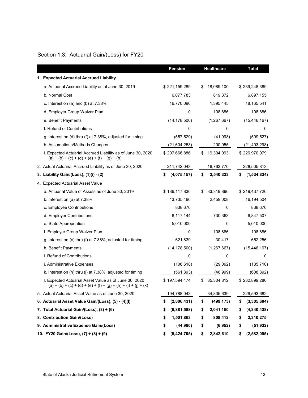## Section 1.3: Actuarial Gain/(Loss) for FY20

|                                                                                                                          | <b>Pension</b>    | <b>Healthcare</b> | <b>Total</b>      |
|--------------------------------------------------------------------------------------------------------------------------|-------------------|-------------------|-------------------|
| 1. Expected Actuarial Accrued Liability                                                                                  |                   |                   |                   |
| a. Actuarial Accrued Liability as of June 30, 2019                                                                       | \$221,159,289     | 18,089,100<br>S   | \$239,248,389     |
| b. Normal Cost                                                                                                           | 6,077,783         | 819,372           | 6,897,155         |
| c. Interest on (a) and (b) at $7.38\%$                                                                                   | 16,770,096        | 1,395,445         | 18,165,541        |
| d. Employer Group Waiver Plan                                                                                            | 0                 | 108,886           | 108,886           |
| e. Benefit Payments                                                                                                      | (14, 178, 500)    | (1, 267, 667)     | (15, 446, 167)    |
| f. Refund of Contributions                                                                                               | 0                 | 0                 | 0                 |
| g. Interest on (d) thru (f) at 7.38%, adjusted for timing                                                                | (557, 529)        | (41,998)          | (599, 527)        |
| h. Assumptions/Methods Changes                                                                                           | (21,604,253)      | 200,955           | (21, 403, 298)    |
| i. Expected Actuarial Accrued Liability as of June 30, 2020<br>$(a) + (b) + (c) + (d) + (e) + (f) + (g) + (h)$           | \$207,666,886     | 19,304,093<br>\$  | \$226,970,979     |
| 2. Actual Actuarial Accrued Liability as of June 30, 2020                                                                | 211,742,043       | 16,763,770        | 228,505,813       |
| 3. Liability Gain/(Loss), (1)(i) - (2)                                                                                   | \$<br>(4,075,157) | \$<br>2,540,323   | (1,534,834)<br>\$ |
| 4. Expected Actuarial Asset Value                                                                                        |                   |                   |                   |
| a. Actuarial Value of Assets as of June 30, 2019                                                                         | \$186,117,830     | 33,319,896<br>S   | \$219,437,726     |
| b. Interest on (a) at 7.38%                                                                                              | 13,735,496        | 2,459,008         | 16,194,504        |
| c. Employee Contributions                                                                                                | 838,676           | 0                 | 838,676           |
| d. Employer Contributions                                                                                                | 6,117,144         | 730,363           | 6,847,507         |
| e. State Appropriation                                                                                                   | 5,010,000         | 0                 | 5,010,000         |
| f. Employer Group Waiver Plan                                                                                            | 0                 | 108,886           | 108,886           |
| g. Interest on (c) thru (f) at 7.38%, adjusted for timing                                                                | 621,839           | 30,417            | 652,256           |
| h. Benefit Payments                                                                                                      | (14, 178, 500)    | (1, 267, 667)     | (15, 446, 167)    |
| i. Refund of Contributions                                                                                               | 0                 | 0                 | 0                 |
| j. Administrative Expenses                                                                                               | (106, 618)        | (29,092)          | (135, 710)        |
| k. Interest on (h) thru (j) at 7.38%, adjusted for timing                                                                | (561, 393)        | (46,999)          | (608, 392)        |
| I. Expected Actuarial Asset Value as of June 30, 2020<br>(a) + (b) + (c) + (d) + (e) + (f) + (g) + (h) + (i) + (j) + (k) | \$197,594,474     | 35,304,812<br>\$  | \$232,899,286     |
| 5. Actual Actuarial Asset Value as of June 30, 2020                                                                      | 194,788,043       | 34,805,639        | 229,593,682       |
| 6. Actuarial Asset Value Gain/(Loss), (5) - (4)(I)                                                                       | (2,806,431)<br>\$ | \$<br>(499, 173)  | (3,305,604)<br>\$ |
| 7. Total Actuarial Gain/(Loss), (3) + (6)                                                                                | (6,881,588)<br>\$ | \$<br>2,041,150   | (4,840,438)<br>\$ |
| 8. Contribution Gain/(Loss)                                                                                              | S<br>1,501,863    | \$<br>808,412     | 2,310,275<br>\$   |
| 9. Administrative Expense Gain/(Loss)                                                                                    | (44,980)<br>\$    | \$<br>(6,952)     | \$<br>(51, 932)   |
| 10. FY20 Gain/(Loss), (7) + (8) + (9)                                                                                    | (5,424,705)<br>\$ | 2,842,610<br>\$   | (2,582,095)<br>\$ |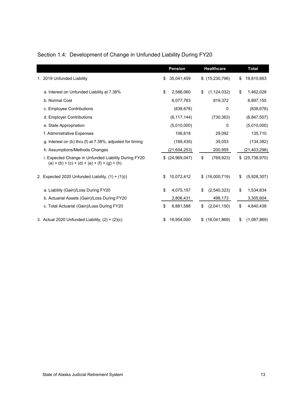| Section 1.4: Development of Change in Unfunded Liability During FY20 |  |  |  |
|----------------------------------------------------------------------|--|--|--|
|                                                                      |  |  |  |

|                                                                                                         | <b>Pension</b>   | <b>Healthcare</b>   | <b>Total</b>      |
|---------------------------------------------------------------------------------------------------------|------------------|---------------------|-------------------|
| 1. 2019 Unfunded Liability                                                                              | \$<br>35,041,459 | \$(15,230,796)      | \$<br>19,810,663  |
| a. Interest on Unfunded Liability at 7.38%                                                              | \$<br>2,586,060  | \$<br>(1, 124, 032) | \$<br>1,462,028   |
| b. Normal Cost                                                                                          | 6,077,783        | 819,372             | 6,897,155         |
| c. Employee Contributions                                                                               | (838, 676)       | 0                   | (838, 676)        |
| d. Employer Contributions                                                                               | (6, 117, 144)    | (730, 363)          | (6,847,507)       |
| e. State Appropriation                                                                                  | (5,010,000)      | 0                   | (5,010,000)       |
| f. Administrative Expenses                                                                              | 106,618          | 29,092              | 135,710           |
| g. Interest on (b) thru (f) at 7.38%, adjusted for timing                                               | (169, 435)       | 35,053              | (134, 382)        |
| h. Assumptions/Methods Changes                                                                          | (21,604,253)     | 200,955             | (21, 403, 298)    |
| i. Expected Change in Unfunded Liability During FY20<br>$(a) + (b) + (c) + (d) + (e) + (f) + (g) + (h)$ | $$$ (24,969,047) | \$<br>(769, 923)    | \$ (25,738,970)   |
| 2. Expected 2020 Unfunded Liability, $(1) + (1)(i)$                                                     | \$<br>10,072,412 | \$(16,000,719)      | \$<br>(5,928,307) |
| a. Liability (Gain)/Loss During FY20                                                                    | \$<br>4,075,157  | \$<br>(2,540,323)   | \$<br>1,534,834   |
| b. Actuarial Assets (Gain)/Loss During FY20                                                             | 2,806,431        | 499,173             | 3,305,604         |
| c. Total Actuarial (Gain)/Loss During FY20                                                              | \$<br>6,881,588  | \$<br>(2,041,150)   | \$<br>4,840,438   |
| 3. Actual 2020 Unfunded Liability, $(2) + (2)(c)$                                                       | \$<br>16,954,000 | \$<br>(18,041,869)  | \$<br>(1,087,869) |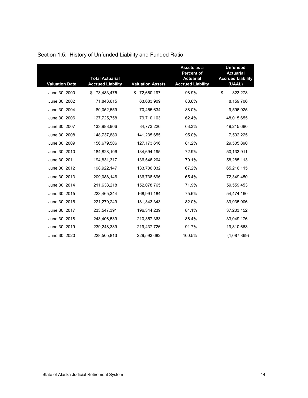| <b>Valuation Date</b> | <b>Total Actuarial</b><br><b>Accrued Liability</b> | <b>Valuation Assets</b> | Assets as a<br><b>Percent of</b><br><b>Actuarial</b><br><b>Accrued Liability</b> | <b>Unfunded</b><br><b>Actuarial</b><br><b>Accrued Liability</b><br>(UAAL) |
|-----------------------|----------------------------------------------------|-------------------------|----------------------------------------------------------------------------------|---------------------------------------------------------------------------|
| June 30, 2000         | 73,483,475<br>S.                                   | 72,660,197              | 98.9%                                                                            | \$<br>823,278                                                             |
| June 30, 2002         | 71,843,615                                         | 63,683,909              | 88.6%                                                                            | 8,159,706                                                                 |
| June 30, 2004         | 80,052,559                                         | 70,455,634              | 88.0%                                                                            | 9,596,925                                                                 |
| June 30, 2006         | 127,725,758                                        | 79,710,103              | 62.4%                                                                            | 48,015,655                                                                |
| June 30, 2007         | 133,988,906                                        | 84,773,226              | 63.3%                                                                            | 49,215,680                                                                |
| June 30, 2008         | 148,737,880                                        | 141,235,655             | 95.0%                                                                            | 7,502,225                                                                 |
| June 30, 2009         | 156,679,506                                        | 127, 173, 616           | 81.2%                                                                            | 29,505,890                                                                |
| June 30, 2010         | 184,828,106                                        | 134,694,195             | 72.9%                                                                            | 50,133,911                                                                |
| June 30, 2011         | 194,831,317                                        | 136,546,204             | 70.1%                                                                            | 58,285,113                                                                |
| June 30, 2012         | 198,922,147                                        | 133,706,032             | 67.2%                                                                            | 65,216,115                                                                |
| June 30, 2013         | 209,088,146                                        | 136,738,696             | 65.4%                                                                            | 72,349,450                                                                |
| June 30, 2014         | 211,638,218                                        | 152,078,765             | 71.9%                                                                            | 59,559,453                                                                |
| June 30, 2015         | 223,465,344                                        | 168,991,184             | 75.6%                                                                            | 54,474,160                                                                |
| June 30, 2016         | 221,279,249                                        | 181,343,343             | 82.0%                                                                            | 39,935,906                                                                |
| June 30, 2017         | 233,547,391                                        | 196,344,239             | 84.1%                                                                            | 37,203,152                                                                |
| June 30, 2018         | 243,406,539                                        | 210,357,363             | 86.4%                                                                            | 33,049,176                                                                |
| June 30, 2019         | 239,248,389                                        | 219,437,726             | 91.7%                                                                            | 19,810,663                                                                |
| June 30, 2020         | 228,505,813                                        | 229,593,682             | 100.5%                                                                           | (1,087,869)                                                               |

## Section 1.5: History of Unfunded Liability and Funded Ratio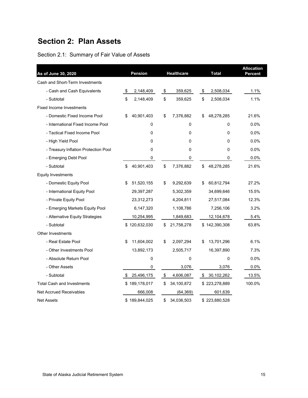## **Section 2: Plan Assets**

Section 2.1: Summary of Fair Value of Assets

| As of June 30, 2020                  |    | <b>Pension</b> |                   | <b>Healthcare</b> | <b>Total</b>     | <b>Allocation</b><br>Percent |
|--------------------------------------|----|----------------|-------------------|-------------------|------------------|------------------------------|
| Cash and Short-Term Investments      |    |                |                   |                   |                  |                              |
| - Cash and Cash Equivalents          | \$ | 2,148,409      | \$                | 359,625           | \$<br>2,508,034  | 1.1%                         |
| - Subtotal                           | \$ | 2,148,409      | \$                | 359,625           | \$<br>2,508,034  | 1.1%                         |
| Fixed Income Investments             |    |                |                   |                   |                  |                              |
| - Domestic Fixed Income Pool         | \$ | 40,901,403     | \$                | 7,376,882         | \$<br>48,278,285 | 21.6%                        |
| - International Fixed Income Pool    |    | 0              |                   | 0                 | 0                | 0.0%                         |
| - Tactical Fixed Income Pool         |    | 0              |                   | 0                 | 0                | 0.0%                         |
| - High Yield Pool                    |    | 0              |                   | 0                 | 0                | 0.0%                         |
| - Treasury Inflation Protection Pool |    | 0              |                   | 0                 | 0                | 0.0%                         |
| - Emerging Debt Pool                 |    | 0              |                   | 0                 | 0                | 0.0%                         |
| - Subtotal                           | \$ | 40,901,403     | \$                | 7,376,882         | \$<br>48,278,285 | 21.6%                        |
| <b>Equity Investments</b>            |    |                |                   |                   |                  |                              |
| - Domestic Equity Pool               | S  | 51,520,155     | \$                | 9,292,639         | \$<br>60,812,794 | 27.2%                        |
| - International Equity Pool          |    | 29,397,287     |                   | 5,302,359         | 34,699,646       | 15.5%                        |
| - Private Equity Pool                |    | 23,312,273     |                   | 4,204,811         | 27,517,084       | 12.3%                        |
| - Emerging Markets Equity Pool       |    | 6,147,320      |                   | 1,108,786         | 7,256,106        | 3.2%                         |
| - Alternative Equity Strategies      |    | 10,254,995     |                   | 1,849,683         | 12,104,678       | 5.4%                         |
| - Subtotal                           |    | \$120,632,030  | \$                | 21,758,278        | \$142,390,308    | 63.8%                        |
| <b>Other Investments</b>             |    |                |                   |                   |                  |                              |
| - Real Estate Pool                   | \$ | 11,604,002     | \$                | 2,097,294         | \$<br>13,701,296 | 6.1%                         |
| - Other Investments Pool             |    | 13,892,173     |                   | 2,505,717         | 16,397,890       | 7.3%                         |
| - Absolute Return Pool               |    | 0              |                   | 0                 | 0                | 0.0%                         |
| - Other Assets                       |    | 0              |                   | 3,076             | 3,076            | 0.0%                         |
| - Subtotal                           | \$ | 25,496,175     | $\boldsymbol{\$}$ | 4,606,087         | \$<br>30,102,262 | 13.5%                        |
| <b>Total Cash and Investments</b>    | \$ | 189,178,017    | \$                | 34,100,872        | \$223,278,889    | 100.0%                       |
| <b>Net Accrued Receivables</b>       |    | 666,008        |                   | (64, 369)         | 601,639          |                              |
| <b>Net Assets</b>                    |    | \$189,844,025  | \$                | 34,036,503        | \$223,880,528    |                              |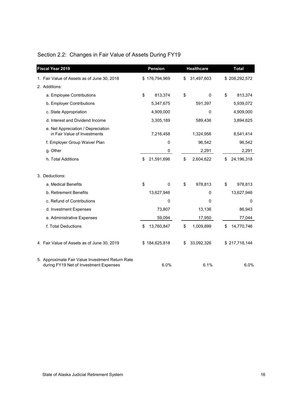| <b>Fiscal Year 2019</b>                                                                    | <b>Pension</b>   |             | <b>Healthcare</b> | <b>Total</b>     |
|--------------------------------------------------------------------------------------------|------------------|-------------|-------------------|------------------|
| 1. Fair Value of Assets as of June 30, 2018                                                | \$176,794,969    | \$          | 31,497,603        | \$208,292,572    |
| 2. Additions:                                                                              |                  |             |                   |                  |
| a. Employee Contributions                                                                  | \$<br>813,374    | \$          | $\Omega$          | \$<br>813,374    |
| b. Employer Contributions                                                                  | 5,347,675        |             | 591,397           | 5,939,072        |
| c. State Appropriation                                                                     | 4,909,000        |             | 0                 | 4,909,000        |
| d. Interest and Dividend Income                                                            | 3,305,189        |             | 589,436           | 3,894,625        |
| e. Net Appreciation / Depreciation<br>in Fair Value of Investments                         | 7,216,458        |             | 1,324,956         | 8,541,414        |
| f. Employer Group Waiver Plan                                                              |                  | $\mathbf 0$ | 96,542            | 96,542           |
| g. Other                                                                                   |                  | 0           | 2,291             | 2,291            |
| h. Total Additions                                                                         | 21,591,696<br>\$ | \$          | 2,604,622         | 24,196,318<br>\$ |
| 3. Deductions:                                                                             |                  |             |                   |                  |
| a. Medical Benefits                                                                        | \$               | \$<br>0     | 978,813           | \$<br>978,813    |
| b. Retirement Benefits                                                                     | 13,627,946       |             | 0                 | 13,627,946       |
| c. Refund of Contributions                                                                 |                  | 0           | 0                 | 0                |
| d. Investment Expenses                                                                     |                  | 73,807      | 13,136            | 86,943           |
| e. Administrative Expenses                                                                 |                  | 59,094      | 17,950            | 77,044           |
| f. Total Deductions                                                                        | 13,760,847<br>\$ | \$          | 1,009,899         | 14,770,746<br>\$ |
| 4. Fair Value of Assets as of June 30, 2019                                                | \$184,625,818    | \$          | 33,092,326        | \$217,718,144    |
| 5. Approximate Fair Value Investment Return Rate<br>during FY19 Net of Investment Expenses |                  | 6.0%        | 6.1%              | 6.0%             |

## Section 2.2: Changes in Fair Value of Assets During FY19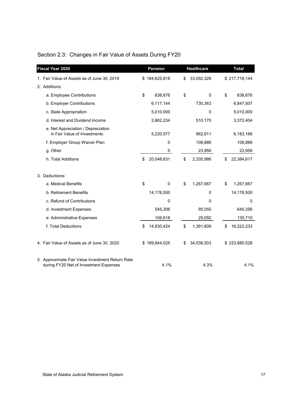| <b>Fiscal Year 2020</b>                                                                    | <b>Pension</b>   | <b>Healthcare</b> | <b>Total</b>     |
|--------------------------------------------------------------------------------------------|------------------|-------------------|------------------|
| 1. Fair Value of Assets as of June 30, 2019                                                | \$184,625,818    | \$<br>33,092,326  | \$217,718,144    |
| 2. Additions:                                                                              |                  |                   |                  |
| a. Employee Contributions                                                                  | \$<br>838,676    | \$<br>0           | \$<br>838,676    |
| b. Employer Contributions                                                                  | 6,117,144        | 730,363           | 6,847,507        |
| c. State Appropriation                                                                     | 5,010,000        | $\mathbf 0$       | 5,010,000        |
| d. Interest and Dividend Income                                                            | 2,862,234        | 510,170           | 3,372,404        |
| e. Net Appreciation / Depreciation<br>in Fair Value of Investments                         | 5,220,577        | 962,611           | 6,183,188        |
| f. Employer Group Waiver Plan                                                              | $\mathbf 0$      | 108,886           | 108,886          |
| g. Other                                                                                   | 0                | 23,956            | 23,956           |
| h. Total Additions                                                                         | \$<br>20,048,631 | \$<br>2,335,986   | \$<br>22,384,617 |
| 3. Deductions:                                                                             |                  |                   |                  |
| a. Medical Benefits                                                                        | \$<br>0          | \$<br>1,267,667   | \$<br>1,267,667  |
| b. Retirement Benefits                                                                     | 14,178,500       | 0                 | 14,178,500       |
| c. Refund of Contributions                                                                 | 0                | $\mathbf 0$       | $\mathbf 0$      |
| d. Investment Expenses                                                                     | 545,306          | 95,050            | 640,356          |
| e. Administrative Expenses                                                                 | 106,618          | 29,092            | 135,710          |
| f. Total Deductions                                                                        | \$<br>14,830,424 | \$<br>1,391,809   | \$<br>16,222,233 |
| 4. Fair Value of Assets as of June 30, 2020                                                | \$189,844,025    | \$<br>34,036,503  | \$223,880,528    |
| 5. Approximate Fair Value Investment Return Rate<br>during FY20 Net of Investment Expenses | 4.1%             | 4.3%              | 4.1%             |

## Section 2.3: Changes in Fair Value of Assets During FY20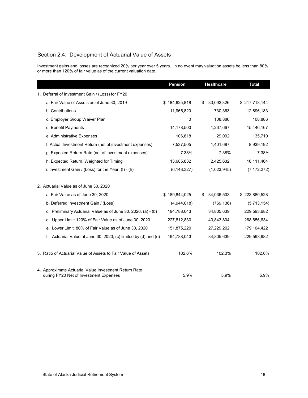## Section 2.4: Development of Actuarial Value of Assets

Investment gains and losses are recognized 20% per year over 5 years. In no event may valuation assets be less than 80% or more than 120% of fair value as of the current valuation date.

|                                                                                                 | <b>Pension</b> | Healthcare       | <b>Total</b>  |
|-------------------------------------------------------------------------------------------------|----------------|------------------|---------------|
| 1. Deferral of Investment Gain / (Loss) for FY20                                                |                |                  |               |
| a. Fair Value of Assets as of June 30, 2019                                                     | \$184,625,818  | \$<br>33,092,326 | \$217,718,144 |
| b. Contributions                                                                                | 11,965,820     | 730,363          | 12,696,183    |
| c. Employer Group Waiver Plan                                                                   | 0              | 108,886          | 108,886       |
| d. Benefit Payments                                                                             | 14,178,500     | 1,267,667        | 15,446,167    |
| e. Administrative Expenses                                                                      | 106,618        | 29,092           | 135,710       |
| f. Actual Investment Return (net of investment expenses)                                        | 7,537,505      | 1,401,687        | 8,939,192     |
| g. Expected Return Rate (net of investment expenses)                                            | 7.38%          | 7.38%            | 7.38%         |
| h. Expected Return, Weighted for Timing                                                         | 13,685,832     | 2,425,632        | 16,111,464    |
| i. Investment Gain / (Loss) for the Year, $(f)$ - $(h)$                                         | (6, 148, 327)  | (1,023,945)      | (7, 172, 272) |
| 2. Actuarial Value as of June 30, 2020                                                          |                |                  |               |
| a. Fair Value as of June 30, 2020                                                               | \$189,844,025  | \$<br>34,036,503 | \$223,880,528 |
| b. Deferred Investment Gain / (Loss)                                                            | (4,944,018)    | (769, 136)       | (5,713,154)   |
| c. Preliminary Actuarial Value as of June 30, 2020, (a) - (b)                                   | 194,788,043    | 34,805,639       | 229,593,682   |
| d. Upper Limit: 120% of Fair Value as of June 30, 2020                                          | 227,812,830    | 40,843,804       | 268,656,634   |
| e. Lower Limit: 80% of Fair Value as of June 30, 2020                                           | 151,875,220    | 27,229,202       | 179,104,422   |
| f. Actuarial Value at June 30, 2020, (c) limited by (d) and (e)                                 | 194,788,043    | 34,805,639       | 229,593,682   |
| 3. Ratio of Actuarial Value of Assets to Fair Value of Assets                                   | 102.6%         | 102.3%           | 102.6%        |
| 4. Approximate Actuarial Value Investment Return Rate<br>during FY20 Net of Investment Expenses | 5.9%           | 5.9%             | 5.9%          |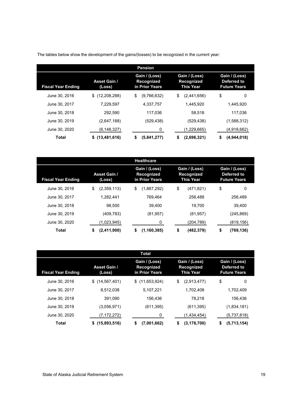|                           |                               | <b>Pension</b>                                       |                                                                                                        |                  |
|---------------------------|-------------------------------|------------------------------------------------------|--------------------------------------------------------------------------------------------------------|------------------|
| <b>Fiscal Year Ending</b> | <b>Asset Gain /</b><br>(Loss) | Gain / (Loss)<br><b>Recognized</b><br>in Prior Years | Gain / (Loss)<br>Gain / (Loss)<br><b>Recognized</b><br>Deferred to<br><b>Future Years</b><br>This Year |                  |
| June 30, 2016             | (12,208,288)<br>\$            | \$<br>(9,766,632)                                    | \$<br>(2,441,656)                                                                                      | \$<br>0          |
| June 30, 2017             | 7.229.597                     | 4.337.757                                            | 1.445.920                                                                                              | 1.445.920        |
| June 30, 2018             | 292.590                       | 117.036                                              | 58,518                                                                                                 | 117.036          |
| June 30, 2019             | (2,647,188)                   | (529,438)                                            | (529, 438)                                                                                             | (1,588,312)      |
| June 30, 2020             | (6,148,327)                   | 0                                                    | (1,229,665)                                                                                            | (4,918,662)      |
| Total                     | (13, 481, 616)<br>S.          | \$<br>(5,841,277)                                    | \$<br>(2,696,321)                                                                                      | (4,944,018)<br>S |

The tables below show the development of the gains/(losses) to be recognized in the current year:

|                           |                               | <b>Healthcare</b>                             |                                          |                                                     |
|---------------------------|-------------------------------|-----------------------------------------------|------------------------------------------|-----------------------------------------------------|
| <b>Fiscal Year Ending</b> | <b>Asset Gain /</b><br>(Loss) | Gain / (Loss)<br>Recognized<br>in Prior Years | Gain / (Loss)<br>Recognized<br>This Year | Gain / (Loss)<br>Deferred to<br><b>Future Years</b> |
| June 30, 2016             | \$<br>(2,359,113)             | \$<br>(1,887,292)                             | \$<br>(471, 821)                         | \$<br>0                                             |
| June 30, 2017             | 1.282.441                     | 769.464                                       | 256.488                                  | 256.489                                             |
| June 30, 2018             | 98.500                        | 39.400                                        | 19.700                                   | 39.400                                              |
| June 30, 2019             | (409, 783)                    | (81, 957)                                     | (81, 957)                                | (245, 869)                                          |
| June 30, 2020             | (1,023,945)                   | 0                                             | (204, 789)                               | (819, 156)                                          |
| Total                     | (2,411,900)<br>\$             | \$<br>(1, 160, 385)                           | \$<br>(482, 379)                         | \$<br>(769, 136)                                    |

|                           |                               | Total                                                                                                   |                     |                                                     |
|---------------------------|-------------------------------|---------------------------------------------------------------------------------------------------------|---------------------|-----------------------------------------------------|
| <b>Fiscal Year Ending</b> | <b>Asset Gain /</b><br>(Loss) | Gain / (Loss)<br>Gain / (Loss)<br>Recognized<br><b>Recognized</b><br>in Prior Years<br><b>This Year</b> |                     | Gain / (Loss)<br>Deferred to<br><b>Future Years</b> |
| June 30, 2016             | \$(14, 567, 401)              | (11,653,924)<br>\$                                                                                      | (2,913,477)<br>\$   | \$<br>0                                             |
| June 30, 2017             | 8,512,038                     | 5,107,221                                                                                               | 1,702,408           | 1.702.409                                           |
| June 30, 2018             | 391.090                       | 156.436                                                                                                 | 78.218              | 156.436                                             |
| June 30, 2019             | (3,056,971)                   | (611, 395)                                                                                              | (611, 395)          | (1,834,181)                                         |
| June 30, 2020             | (7,172,272)                   | 0                                                                                                       | (1,434,454)         | (5,737,818)                                         |
| Total                     | (15,893,516)<br>\$            | (7,001,662)<br>\$                                                                                       | (3, 178, 700)<br>\$ | (5,713,154)<br>\$                                   |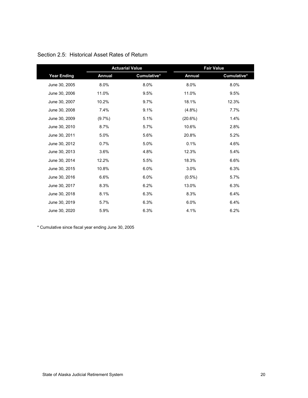|                    | <b>Actuarial Value</b> |             |               | <b>Fair Value</b> |
|--------------------|------------------------|-------------|---------------|-------------------|
| <b>Year Ending</b> | <b>Annual</b>          | Cumulative* | <b>Annual</b> | Cumulative*       |
| June 30, 2005      | 8.0%                   | 8.0%        | 8.0%          | 8.0%              |
| June 30, 2006      | 11.0%                  | 9.5%        | 11.0%         | 9.5%              |
| June 30, 2007      | 10.2%                  | 9.7%        | 18.1%         | 12.3%             |
| June 30, 2008      | 7.4%                   | 9.1%        | $(4.8\%)$     | 7.7%              |
| June 30, 2009      | $(9.7\%)$              | 5.1%        | (20.6%)       | 1.4%              |
| June 30, 2010      | 8.7%                   | 5.7%        | 10.6%         | 2.8%              |
| June 30, 2011      | 5.0%                   | 5.6%        | 20.8%         | 5.2%              |
| June 30, 2012      | 0.7%                   | 5.0%        | 0.1%          | 4.6%              |
| June 30, 2013      | 3.6%                   | 4.8%        | 12.3%         | 5.4%              |
| June 30, 2014      | 12.2%                  | 5.5%        | 18.3%         | 6.6%              |
| June 30, 2015      | 10.8%                  | 6.0%        | 3.0%          | 6.3%              |
| June 30, 2016      | 6.6%                   | 6.0%        | $(0.5\%)$     | 5.7%              |
| June 30, 2017      | 8.3%                   | 6.2%        | 13.0%         | 6.3%              |
| June 30, 2018      | 8.1%                   | 6.3%        | 8.3%          | 6.4%              |
| June 30, 2019      | 5.7%                   | 6.3%        | 6.0%          | 6.4%              |
| June 30, 2020      | 5.9%                   | 6.3%        | 4.1%          | 6.2%              |

### Section 2.5: Historical Asset Rates of Return

\* Cumulative since fiscal year ending June 30, 2005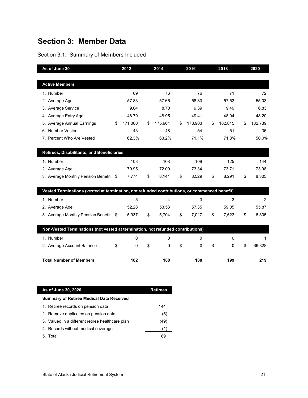## **Section 3: Member Data**

## Section 3.1: Summary of Members Included

| As of June 30                                                                                 |    | 2012    | 2014          | 2016          | 2018               | 2020          |
|-----------------------------------------------------------------------------------------------|----|---------|---------------|---------------|--------------------|---------------|
|                                                                                               |    |         |               |               |                    |               |
| <b>Active Members</b>                                                                         |    |         |               |               |                    |               |
| 1. Number                                                                                     |    | 69      | 76            | 76            | 71                 | 72            |
| 2. Average Age                                                                                |    | 57.83   | 57.65         | 58.80         | 57.53              | 55.03         |
| 3. Average Service                                                                            |    | 9.04    | 8.70          | 9.39          | 9.49               | 6.83          |
| 4. Average Entry Age                                                                          |    | 48.79   | 48.95         | 49.41         | 48.04              | 48.20         |
| 5. Average Annual Earnings                                                                    | \$ | 171,060 | \$<br>175,964 | \$<br>178,903 | \$<br>182,045      | \$<br>182,739 |
| 6. Number Vested                                                                              |    | 43      | 48            | 54            | 51                 | 36            |
| 7. Percent Who Are Vested                                                                     |    | 62.3%   | 63.2%         | 71.1%         | 71.8%              | 50.0%         |
|                                                                                               |    |         |               |               |                    |               |
| Retirees, Disabilitants, and Beneficiaries                                                    |    |         |               |               |                    |               |
| 1. Number                                                                                     |    | 108     | 108           | 109           | 125                | 144           |
| 2. Average Age                                                                                |    | 70.95   | 72.09         | 73.34         | 73.71              | 73.98         |
| 3. Average Monthly Pension Benefit                                                            | S. | 7,774   | \$<br>8,141   | \$<br>8,529   | \$<br>8,291        | \$<br>8,305   |
|                                                                                               |    |         |               |               |                    |               |
| Vested Terminations (vested at termination, not refunded contributions, or commenced benefit) |    |         |               |               |                    |               |
| 1. Number                                                                                     |    | 5       | 4             | 3             | 3                  | 2             |
| 2. Average Age                                                                                |    | 52.28   | 53.53         | 57.35         | 59.05              | 55.87         |
| 3. Average Monthly Pension Benefit \$                                                         |    | 5,937   | \$<br>5,704   | \$<br>7,017   | \$<br>7,623        | \$<br>6,305   |
|                                                                                               |    |         |               |               |                    |               |
| Non-Vested Terminations (not vested at termination, not refunded contributions)               |    |         |               |               |                    |               |
| 1. Number                                                                                     |    | 0       | $\Omega$      | $\Omega$      | 0                  | 1             |
| 2. Average Account Balance                                                                    | \$ | 0       | \$<br>0       | \$<br>0       | \$<br>$\mathbf{0}$ | \$<br>66,828  |
|                                                                                               |    |         |               |               |                    |               |
| <b>Total Number of Members</b>                                                                |    | 182     | 188           | 188           | 199                | 219           |

| As of June 30, 2020                              | <b>Retirees</b> |  |  |  |  |  |  |  |  |
|--------------------------------------------------|-----------------|--|--|--|--|--|--|--|--|
| <b>Summary of Retiree Medical Data Received</b>  |                 |  |  |  |  |  |  |  |  |
| 1. Retiree records on pension data               | 144             |  |  |  |  |  |  |  |  |
| 2. Remove duplicates on pension data             | (5)             |  |  |  |  |  |  |  |  |
| 3. Valued in a different retiree healthcare plan | (49)            |  |  |  |  |  |  |  |  |
| 4. Records without medical coverage              |                 |  |  |  |  |  |  |  |  |
| 5. Total                                         | 89              |  |  |  |  |  |  |  |  |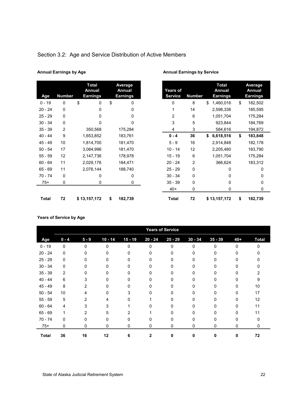| Section 3.2: Age and Service Distribution of Active Members |  |  |
|-------------------------------------------------------------|--|--|

| Age          | Number | <b>Total</b><br>Annual<br><b>Earnings</b> | Average<br>Annual<br>Earnings | Years<br>Servic |
|--------------|--------|-------------------------------------------|-------------------------------|-----------------|
| $0 - 19$     | 0      | \$<br>0                                   | \$<br>0                       | 0               |
| $20 - 24$    | 0      | 0                                         | 0                             | 1               |
| $25 - 29$    | 0      | 0                                         | 0                             | 2               |
| $30 - 34$    | 0      | 0                                         | 0                             | 3               |
| $35 - 39$    | 2      | 350,568                                   | 175,284                       | 4               |
| $40 - 44$    | 9      | 1,653,852                                 | 183,761                       | $0 - 4$         |
| 45 - 49      | 10     | 1,814,700                                 | 181,470                       | $5 - 9$         |
| $50 - 54$    | 17     | 3,084,996                                 | 181,470                       | $10 - 1$        |
| $55 - 59$    | 12     | 2,147,736                                 | 178,978                       | $15 - 1$        |
| $60 - 64$    | 11     | 2,029,176                                 | 184,471                       | $20 - 2$        |
| $65 - 69$    | 11     | 2,076,144                                 | 188,740                       | $25 - 2$        |
| $70 - 74$    | 0      | 0                                         | 0                             | $30 - 3$        |
| $75+$        | 0      | 0                                         | 0                             | $35 - 3$        |
|              |        |                                           |                               | $40+$           |
| <b>Total</b> | 72     | \$13,157,172                              | \$<br>182,739                 | Tota            |

#### Annual Earnings by Age **Annual Earnings by Service Annual Earnings by Service**

| Average<br>Annual<br>Earnings | <b>Years of</b><br><b>Service</b> | <b>Number</b> | <b>Total</b><br>Annual<br><b>Earnings</b> | Average<br>Annual<br><b>Earnings</b> |
|-------------------------------|-----------------------------------|---------------|-------------------------------------------|--------------------------------------|
| 0                             | 0                                 | 8             | \$<br>1,460,016                           | \$<br>182,502                        |
| 0                             | 1                                 | 14            | 2,598,336                                 | 185,595                              |
| 0                             | 2                                 | 6             | 1,051,704                                 | 175,284                              |
| 0                             | 3                                 | 5             | 923,844                                   | 184,769                              |
| 175,284                       | 4                                 | 3             | 584,616                                   | 194,872                              |
| 183,761                       | $0 - 4$                           | 36            | \$<br>6,618,516                           | \$<br>183,848                        |
| 181,470                       | $5 - 9$                           | 16            | 2,914,848                                 | 182,178                              |
| 181,470                       | $10 - 14$                         | 12            | 2,205,480                                 | 183,790                              |
| 178,978                       | $15 - 19$                         | 6             | 1,051,704                                 | 175,284                              |
| 184,471                       | $20 - 24$                         | 2             | 366,624                                   | 183,312                              |
| 188,740                       | $25 - 29$                         | 0             | 0                                         | 0                                    |
| 0                             | $30 - 34$                         | 0             | $\Omega$                                  | 0                                    |
| 0                             | $35 - 39$                         | 0             | $\Omega$                                  | 0                                    |
|                               | $40+$                             | 0             | 0                                         | 0                                    |
| 182,739                       | <b>Total</b>                      | 72            | \$13,157,172                              | \$<br>182,739                        |

#### **Years of Service by Age**

|              |                |              |           |              |           | <b>Years of Service</b> |           |           |              |              |
|--------------|----------------|--------------|-----------|--------------|-----------|-------------------------|-----------|-----------|--------------|--------------|
| Age          | $0 - 4$        | $5 - 9$      | $10 - 14$ | $15 - 19$    | $20 - 24$ | $25 - 29$               | $30 - 34$ | $35 - 39$ | $40+$        | <b>Total</b> |
| $0 - 19$     | $\Omega$       | $\mathbf{0}$ | $\Omega$  | $\Omega$     | $\Omega$  | $\Omega$                | 0         | $\Omega$  | <sup>0</sup> | <sup>0</sup> |
| $20 - 24$    | 0              | 0            |           | U            |           | 0                       | o         |           | n.           |              |
| $25 - 29$    | $\mathbf{0}$   | 0            |           | 0            |           | 0                       |           |           |              |              |
| $30 - 34$    | $\mathbf{0}$   | <sup>0</sup> | n         | 0            | n         | 0                       |           |           |              |              |
| $35 - 39$    | $\overline{2}$ | 0            |           | 0            |           | 0                       |           |           |              |              |
| $40 - 44$    | 6              | 3            |           | <sup>0</sup> |           | <sup>0</sup>            |           |           |              |              |
| $45 - 49$    | 8              | 2            |           | U            |           | <sup>0</sup>            |           |           | 0            | 10           |
| $50 - 54$    | 10             | 4            |           | 3            |           | 0                       |           |           | 0            | 17           |
| $55 - 59$    | 5              | 2            | 4         | <sup>0</sup> |           | <sup>0</sup>            |           |           | 0            | 12           |
| $60 - 64$    | 4              | 3            | 3         |              |           | 0                       |           |           | 0            | 11           |
| $65 - 69$    | 1              | 2            | 5.        | 2            |           | <sup>0</sup>            |           |           | n.           | 11           |
| $70 - 74$    | 0              | 0            | 0         | 0            |           | 0                       | 0         |           | 0            | U            |
| $75+$        | 0              | 0            | 0         | 0            | 0         | 0                       | 0         | 0         | 0            | 0            |
| <b>Total</b> | 36             | 16           | 12        | 6            | 2         | O                       | ŋ         | U         | 0            | 72           |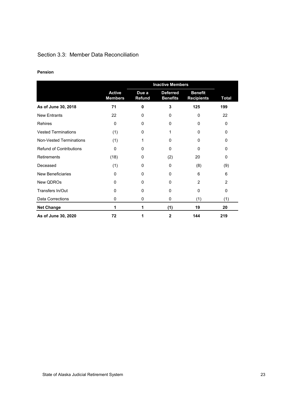## Section 3.3: Member Data Reconciliation

#### **Pension**

|                                |                                 | <b>Inactive Members</b> |                                    |                                     |                |  |  |
|--------------------------------|---------------------------------|-------------------------|------------------------------------|-------------------------------------|----------------|--|--|
|                                | <b>Active</b><br><b>Members</b> | Due a<br>Refund         | <b>Deferred</b><br><b>Benefits</b> | <b>Benefit</b><br><b>Recipients</b> | Total          |  |  |
| As of June 30, 2018            | 71                              | 0                       | 3                                  | 125                                 | 199            |  |  |
| <b>New Entrants</b>            | 22                              | 0                       | $\Omega$                           | $\Omega$                            | 22             |  |  |
| <b>Rehires</b>                 | 0                               | 0                       | $\mathbf{0}$                       | 0                                   | 0              |  |  |
| <b>Vested Terminations</b>     | (1)                             | 0                       | 1                                  | 0                                   | 0              |  |  |
| <b>Non-Vested Terminations</b> | (1)                             | 1                       | $\Omega$                           | 0                                   | 0              |  |  |
| <b>Refund of Contributions</b> | $\Omega$                        | $\Omega$                | $\Omega$                           | $\Omega$                            | 0              |  |  |
| Retirements                    | (18)                            | 0                       | (2)                                | 20                                  | 0              |  |  |
| Deceased                       | (1)                             | 0                       | $\Omega$                           | (8)                                 | (9)            |  |  |
| <b>New Beneficiaries</b>       | 0                               | 0                       | $\Omega$                           | 6                                   | 6              |  |  |
| New QDROs                      | 0                               | 0                       | $\Omega$                           | $\overline{2}$                      | $\overline{2}$ |  |  |
| Transfers In/Out               | 0                               | 0                       | $\mathbf{0}$                       | 0                                   | 0              |  |  |
| <b>Data Corrections</b>        | 0                               | 0                       | $\Omega$                           | (1)                                 | (1)            |  |  |
| <b>Net Change</b>              | 1                               | 1                       | (1)                                | 19                                  | 20             |  |  |
| As of June 30, 2020            | 72                              | 1                       | $\overline{2}$                     | 144                                 | 219            |  |  |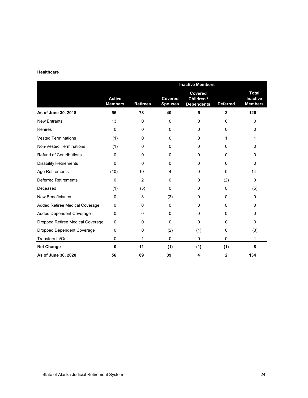#### **Healthcare**

|                                   |                                 | <b>Inactive Members</b> |                                  |                                            |                 |                                                   |  |  |
|-----------------------------------|---------------------------------|-------------------------|----------------------------------|--------------------------------------------|-----------------|---------------------------------------------------|--|--|
|                                   | <b>Active</b><br><b>Members</b> | <b>Retirees</b>         | <b>Covered</b><br><b>Spouses</b> | Covered<br>Children /<br><b>Dependents</b> | <b>Deferred</b> | <b>Total</b><br><b>Inactive</b><br><b>Members</b> |  |  |
| As of June 30, 2018               | 56                              | 78                      | 40                               | 5                                          | 3               | 126                                               |  |  |
| <b>New Entrants</b>               | 13                              | $\mathbf 0$             | 0                                | 0                                          | 0               | 0                                                 |  |  |
| <b>Rehires</b>                    | $\mathbf 0$                     | 0                       | 0                                | 0                                          | 0               | 0                                                 |  |  |
| <b>Vested Terminations</b>        | (1)                             | 0                       | $\Omega$                         | $\mathbf 0$                                | 1               | 1                                                 |  |  |
| <b>Non-Vested Terminations</b>    | (1)                             | 0                       | $\Omega$                         | 0                                          | 0               | 0                                                 |  |  |
| <b>Refund of Contributions</b>    | $\Omega$                        | 0                       | $\Omega$                         | 0                                          | 0               | 0                                                 |  |  |
| <b>Disability Retirements</b>     | $\mathbf{0}$                    | 0                       | $\Omega$                         | 0                                          | 0               | 0                                                 |  |  |
| Age Retirements                   | (10)                            | 10                      | 4                                | 0                                          | 0               | 14                                                |  |  |
| <b>Deferred Retirements</b>       | 0                               | 2                       | $\mathbf 0$                      | 0                                          | (2)             | 0                                                 |  |  |
| Deceased                          | (1)                             | (5)                     | 0                                | 0                                          | $\Omega$        | (5)                                               |  |  |
| <b>New Beneficiaries</b>          | $\Omega$                        | 3                       | (3)                              | 0                                          | $\Omega$        | 0                                                 |  |  |
| Added Retiree Medical Coverage    | $\Omega$                        | 0                       | $\mathbf 0$                      | 0                                          | 0               | 0                                                 |  |  |
| <b>Added Dependent Coverage</b>   | 0                               | 0                       | $\Omega$                         | 0                                          | $\Omega$        | 0                                                 |  |  |
| Dropped Retiree Medical Coverage  | $\Omega$                        | 0                       | $\Omega$                         | $\Omega$                                   | $\Omega$        | 0                                                 |  |  |
| <b>Dropped Dependent Coverage</b> | 0                               | 0                       | (2)                              | (1)                                        | 0               | (3)                                               |  |  |
| Transfers In/Out                  | 0                               | 1                       | $\mathbf 0$                      | $\mathbf 0$                                | 0               | 1                                                 |  |  |
| <b>Net Change</b>                 | $\mathbf{0}$                    | 11                      | (1)                              | (1)                                        | (1)             | 8                                                 |  |  |
| As of June 30, 2020               | 56                              | 89                      | 39                               | 4                                          | $\overline{2}$  | 134                                               |  |  |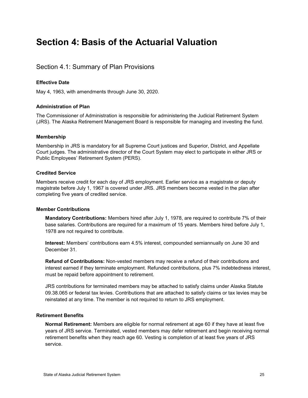# <span id="page-29-0"></span>**Section 4: Basis of the Actuarial Valuation**

## <span id="page-29-1"></span>Section 4.1: Summary of Plan Provisions

#### **Effective Date**

May 4, 1963, with amendments through June 30, 2020.

#### **Administration of Plan**

The Commissioner of Administration is responsible for administering the Judicial Retirement System (JRS). The Alaska Retirement Management Board is responsible for managing and investing the fund.

#### **Membership**

Membership in JRS is mandatory for all Supreme Court justices and Superior, District, and Appellate Court judges. The administrative director of the Court System may elect to participate in either JRS or Public Employees' Retirement System (PERS).

#### **Credited Service**

Members receive credit for each day of JRS employment. Earlier service as a magistrate or deputy magistrate before July 1, 1967 is covered under JRS. JRS members become vested in the plan after completing five years of credited service.

#### **Member Contributions**

**Mandatory Contributions:** Members hired after July 1, 1978, are required to contribute 7% of their base salaries. Contributions are required for a maximum of 15 years. Members hired before July 1, 1978 are not required to contribute.

**Interest:** Members' contributions earn 4.5% interest, compounded semiannually on June 30 and December 31.

**Refund of Contributions:** Non-vested members may receive a refund of their contributions and interest earned if they terminate employment. Refunded contributions, plus 7% indebtedness interest, must be repaid before appointment to retirement.

JRS contributions for terminated members may be attached to satisfy claims under Alaska Statute 09.38.065 or federal tax levies. Contributions that are attached to satisfy claims or tax levies may be reinstated at any time. The member is not required to return to JRS employment.

#### **Retirement Benefits**

**Normal Retirement:** Members are eligible for normal retirement at age 60 if they have at least five years of JRS service. Terminated, vested members may defer retirement and begin receiving normal retirement benefits when they reach age 60. Vesting is completion of at least five years of JRS service.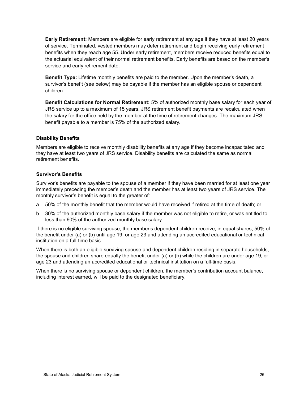**Early Retirement:** Members are eligible for early retirement at any age if they have at least 20 years of service. Terminated, vested members may defer retirement and begin receiving early retirement benefits when they reach age 55. Under early retirement, members receive reduced benefits equal to the actuarial equivalent of their normal retirement benefits. Early benefits are based on the member's service and early retirement date.

**Benefit Type:** Lifetime monthly benefits are paid to the member. Upon the member's death, a survivor's benefit (see below) may be payable if the member has an eligible spouse or dependent children.

**Benefit Calculations for Normal Retirement:** 5% of authorized monthly base salary for each year of JRS service up to a maximum of 15 years. JRS retirement benefit payments are recalculated when the salary for the office held by the member at the time of retirement changes. The maximum JRS benefit payable to a member is 75% of the authorized salary.

#### **Disability Benefits**

Members are eligible to receive monthly disability benefits at any age if they become incapacitated and they have at least two years of JRS service. Disability benefits are calculated the same as normal retirement benefits.

#### **Survivor's Benefits**

Survivor's benefits are payable to the spouse of a member if they have been married for at least one year immediately preceding the member's death and the member has at least two years of JRS service. The monthly survivor's benefit is equal to the greater of:

- a. 50% of the monthly benefit that the member would have received if retired at the time of death; or
- b. 30% of the authorized monthly base salary if the member was not eligible to retire, or was entitled to less than 60% of the authorized monthly base salary.

If there is no eligible surviving spouse, the member's dependent children receive, in equal shares, 50% of the benefit under (a) or (b) until age 19, or age 23 and attending an accredited educational or technical institution on a full-time basis.

When there is both an eligible surviving spouse and dependent children residing in separate households, the spouse and children share equally the benefit under (a) or (b) while the children are under age 19, or age 23 and attending an accredited educational or technical institution on a full-time basis.

When there is no surviving spouse or dependent children, the member's contribution account balance, including interest earned, will be paid to the designated beneficiary.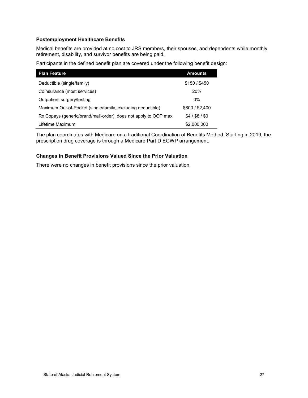#### **Postemployment Healthcare Benefits**

Medical benefits are provided at no cost to JRS members, their spouses, and dependents while monthly retirement, disability, and survivor benefits are being paid.

Participants in the defined benefit plan are covered under the following benefit design:

| <b>Plan Feature</b>                                             | <b>Amounts</b>  |
|-----------------------------------------------------------------|-----------------|
| Deductible (single/family)                                      | \$150/\$450     |
| Coinsurance (most services)                                     | 20%             |
| Outpatient surgery/testing                                      | $0\%$           |
| Maximum Out-of-Pocket (single/family, excluding deductible)     | \$800/\$2,400   |
| Rx Copays (generic/brand/mail-order), does not apply to OOP max | $$4/$ \$8 / \$0 |
| Lifetime Maximum                                                | \$2,000,000     |

The plan coordinates with Medicare on a traditional Coordination of Benefits Method. Starting in 2019, the prescription drug coverage is through a Medicare Part D EGWP arrangement.

#### **Changes in Benefit Provisions Valued Since the Prior Valuation**

There were no changes in benefit provisions since the prior valuation.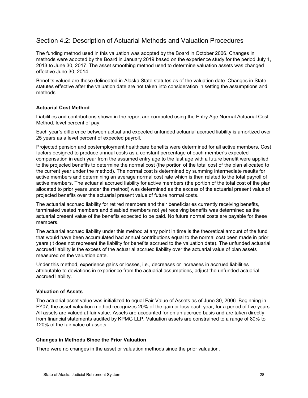## <span id="page-32-0"></span>Section 4.2: Description of Actuarial Methods and Valuation Procedures

The funding method used in this valuation was adopted by the Board in October 2006. Changes in methods were adopted by the Board in January 2019 based on the experience study for the period July 1, 2013 to June 30, 2017. The asset smoothing method used to determine valuation assets was changed effective June 30, 2014.

Benefits valued are those delineated in Alaska State statutes as of the valuation date. Changes in State statutes effective after the valuation date are not taken into consideration in setting the assumptions and methods.

#### **Actuarial Cost Method**

Liabilities and contributions shown in the report are computed using the Entry Age Normal Actuarial Cost Method, level percent of pay.

Each year's difference between actual and expected unfunded actuarial accrued liability is amortized over 25 years as a level percent of expected payroll.

Projected pension and postemployment healthcare benefits were determined for all active members. Cost factors designed to produce annual costs as a constant percentage of each member's expected compensation in each year from the assumed entry age to the last age with a future benefit were applied to the projected benefits to determine the normal cost (the portion of the total cost of the plan allocated to the current year under the method). The normal cost is determined by summing intermediate results for active members and determining an average normal cost rate which is then related to the total payroll of active members. The actuarial accrued liability for active members (the portion of the total cost of the plan allocated to prior years under the method) was determined as the excess of the actuarial present value of projected benefits over the actuarial present value of future normal costs.

The actuarial accrued liability for retired members and their beneficiaries currently receiving benefits, terminated vested members and disabled members not yet receiving benefits was determined as the actuarial present value of the benefits expected to be paid. No future normal costs are payable for these members.

The actuarial accrued liability under this method at any point in time is the theoretical amount of the fund that would have been accumulated had annual contributions equal to the normal cost been made in prior years (it does not represent the liability for benefits accrued to the valuation date). The unfunded actuarial accrued liability is the excess of the actuarial accrued liability over the actuarial value of plan assets measured on the valuation date.

Under this method, experience gains or losses, i.e., decreases or increases in accrued liabilities attributable to deviations in experience from the actuarial assumptions, adjust the unfunded actuarial accrued liability.

#### **Valuation of Assets**

The actuarial asset value was initialized to equal Fair Value of Assets as of June 30, 2006. Beginning in FY07, the asset valuation method recognizes 20% of the gain or loss each year, for a period of five years. All assets are valued at fair value. Assets are accounted for on an accrued basis and are taken directly from financial statements audited by KPMG LLP. Valuation assets are constrained to a range of 80% to 120% of the fair value of assets.

#### **Changes in Methods Since the Prior Valuation**

There were no changes in the asset or valuation methods since the prior valuation.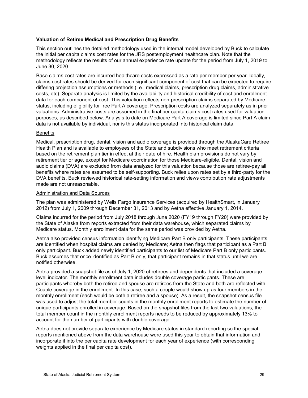#### **Valuation of Retiree Medical and Prescription Drug Benefits**

This section outlines the detailed methodology used in the internal model developed by Buck to calculate the initial per capita claims cost rates for the JRS postemployment healthcare plan. Note that the methodology reflects the results of our annual experience rate update for the period from July 1, 2019 to June 30, 2020.

Base claims cost rates are incurred healthcare costs expressed as a rate per member per year. Ideally, claims cost rates should be derived for each significant component of cost that can be expected to require differing projection assumptions or methods (i.e., medical claims, prescription drug claims, administrative costs, etc). Separate analysis is limited by the availability and historical credibility of cost and enrollment data for each component of cost. This valuation reflects non-prescription claims separated by Medicare status, including eligibility for free Part A coverage. Prescription costs are analyzed separately as in prior valuations. Administrative costs are assumed in the final per capita claims cost rates used for valuation purposes, as described below. Analysis to date on Medicare Part A coverage is limited since Part A claim data is not available by individual, nor is this status incorporated into historical claim data.

#### **Benefits**

Medical, prescription drug, dental, vision and audio coverage is provided through the AlaskaCare Retiree Health Plan and is available to employees of the State and subdivisions who meet retirement criteria based on the retirement plan tier in effect at their date of hire. Health plan provisions do not vary by retirement tier or age, except for Medicare coordination for those Medicare-eligible. Dental, vision and audio claims (DVA) are excluded from data analyzed for this valuation because those are retiree-pay all benefits where rates are assumed to be self-supporting. Buck relies upon rates set by a third-party for the DVA benefits. Buck reviewed historical rate-setting information and views contribution rate adjustments made are not unreasonable.

#### Administration and Data Sources

The plan was administered by Wells Fargo Insurance Services (acquired by HealthSmart, in January 2012) from July 1, 2009 through December 31, 2013 and by Aetna effective January 1, 2014.

Claims incurred for the period from July 2018 through June 2020 (FY19 through FY20) were provided by the State of Alaska from reports extracted from their data warehouse, which separated claims by Medicare status. Monthly enrollment data for the same period was provided by Aetna.

Aetna also provided census information identifying Medicare Part B only participants. These participants are identified when hospital claims are denied by Medicare; Aetna then flags that participant as a Part B only participant. Buck added newly identified participants to our list of Medicare Part B only participants. Buck assumes that once identified as Part B only, that participant remains in that status until we are notified otherwise.

Aetna provided a snapshot file as of July 1, 2020 of retirees and dependents that included a coverage level indicator. The monthly enrollment data includes double coverage participants. These are participants whereby both the retiree and spouse are retirees from the State and both are reflected with Couple coverage in the enrollment. In this case, such a couple would show up as four members in the monthly enrollment (each would be both a retiree and a spouse). As a result, the snapshot census file was used to adjust the total member counts in the monthly enrollment reports to estimate the number of unique participants enrolled in coverage. Based on the snapshot files from the last two valuations, the total member count in the monthly enrollment reports needs to be reduced by approximately 13% to account for the number of participants with double coverage.

Aetna does not provide separate experience by Medicare status in standard reporting so the special reports mentioned above from the data warehouse were used this year to obtain that information and incorporate it into the per capita rate development for each year of experience (with corresponding weights applied in the final per capita cost).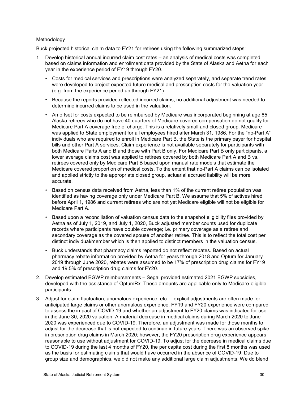#### Methodology

Buck projected historical claim data to FY21 for retirees using the following summarized steps:

- 1. Develop historical annual incurred claim cost rates an analysis of medical costs was completed based on claims information and enrollment data provided by the State of Alaska and Aetna for each year in the experience period of FY19 through FY20.
	- Costs for medical services and prescriptions were analyzed separately, and separate trend rates were developed to project expected future medical and prescription costs for the valuation year (e.g. from the experience period up through FY21).
	- Because the reports provided reflected incurred claims, no additional adjustment was needed to determine incurred claims to be used in the valuation.
	- An offset for costs expected to be reimbursed by Medicare was incorporated beginning at age 65. Alaska retirees who do not have 40 quarters of Medicare-covered compensation do not qualify for Medicare Part A coverage free of charge. This is a relatively small and closed group. Medicare was applied to State employment for all employees hired after March 31, 1986. For the "no-Part A" individuals who are required to enroll in Medicare Part B, the State is the primary payer for hospital bills and other Part A services. Claim experience is not available separately for participants with both Medicare Parts A and B and those with Part B only. For Medicare Part B only participants, a lower average claims cost was applied to retirees covered by both Medicare Part A and B vs. retirees covered only by Medicare Part B based upon manual rate models that estimate the Medicare covered proportion of medical costs. To the extent that no-Part A claims can be isolated and applied strictly to the appropriate closed group, actuarial accrued liability will be more accurate.
	- Based on census data received from Aetna, less than 1% of the current retiree population was identified as having coverage only under Medicare Part B. We assume that 5% of actives hired before April 1, 1986 and current retirees who are not yet Medicare eligible will not be eligible for Medicare Part A.
	- Based upon a reconciliation of valuation census data to the snapshot eligibility files provided by Aetna as of July 1, 2019, and July 1, 2020, Buck adjusted member counts used for duplicate records where participants have double coverage; i.e. primary coverage as a retiree and secondary coverage as the covered spouse of another retiree. This is to reflect the total cost per distinct individual/member which is then applied to distinct members in the valuation census.
	- Buck understands that pharmacy claims reported do not reflect rebates. Based on actual pharmacy rebate information provided by Aetna for years through 2018 and Optum for January 2019 through June 2020, rebates were assumed to be 17% of prescription drug claims for FY19 and 19.5% of prescription drug claims for FY20.
- 2. Develop estimated EGWP reimbursements Segal provided estimated 2021 EGWP subsidies, developed with the assistance of OptumRx. These amounts are applicable only to Medicare-eligible participants.
- 3. Adjust for claim fluctuation, anomalous experience, etc. explicit adjustments are often made for anticipated large claims or other anomalous experience. FY19 and FY20 experience were compared to assess the impact of COVID-19 and whether an adjustment to FY20 claims was indicated for use in the June 30, 2020 valuation. A material decrease in medical claims during March 2020 to June 2020 was experienced due to COVID-19. Therefore, an adjustment was made for those months to adjust for the decrease that is not expected to continue in future years. There was an observed spike in prescription drug claims in March 2020; however, the FY20 prescription drug experience appears reasonable to use without adjustment for COVID-19. To adjust for the decrease in medical claims due to COVID-19 during the last 4 months of FY20, the per capita cost during the first 8 months was used as the basis for estimating claims that would have occurred in the absence of COVID-19. Due to group size and demographics, we did not make any additional large claim adjustments. We do blend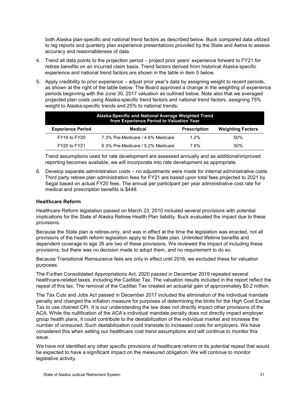both Alaska plan-specific and national trend factors as described below. Buck compared data utilized to lag reports and quarterly plan experience presentations provided by the State and Aetna to assess accuracy and reasonableness of data.

- 4. Trend all data points to the projection period project prior years' experience forward to FY21 for retiree benefits on an incurred claim basis. Trend factors derived from historical Alaska-specific experience and national trend factors are shown in the table in item 5 below.
- 5. Apply credibility to prior experience adjust prior year's data by assigning weight to recent periods, as shown at the right of the table below. The Board approved a change in the weighting of experience periods beginning with the June 30, 2017 valuation as outlined below. Note also that we averaged projected plan costs using Alaska-specific trend factors and national trend factors, assigning 75% weight to Alaska-specific trends and 25% to national trends:

| Alaska-Specific and National Average Weighted Trend |                                   |                     |                          |
|-----------------------------------------------------|-----------------------------------|---------------------|--------------------------|
| <b>Experience Period</b>                            | Medical                           | <b>Prescription</b> | <b>Weighting Factors</b> |
| $FY19$ to $FY20$                                    | 7.3% Pre-Medicare / 4.6% Medicare | $1.2\%$             | .50%                     |
| FY20 to FY21                                        | 6.3% Pre-Medicare / 5.2% Medicare | 7 6%                | .50%                     |

Trend assumptions used for rate development are assessed annually and as additional/improved reporting becomes available, we will incorporate into rate development as appropriate.

6. Develop separate administration costs – no adjustments were made for internal administrative costs. Third party retiree plan administration fees for FY21 are based upon total fees projected to 2021 by Segal based on actual FY20 fees. The annual per participant per year administrative cost rate for medical and prescription benefits is \$449.

#### **Healthcare Reform**

Healthcare Reform legislation passed on March 23, 2010 included several provisions with potential implications for the State of Alaska Retiree Health Plan liability. Buck evaluated the impact due to these provisions.

Because the State plan is retiree-only, and was in effect at the time the legislation was enacted, not all provisions of the health reform legislation apply to the State plan. Unlimited lifetime benefits and dependent coverage to age 26 are two of these provisions. We reviewed the impact of including these provisions, but there was no decision made to adopt them, and no requirement to do so.

Because Transitional Reinsurance fees are only in effect until 2016, we excluded these for valuation purposes.

The Further Consolidated Appropriations Act, 2020 passed in December 2019 repealed several healthcare-related taxes, including the Cadillac Tax. The valuation results included in the report reflect the repeal of this tax. The removal of the Cadillac Tax created an actuarial gain of approximately \$0.2 million.

The Tax Cuts and Jobs Act passed in December 2017 included the elimination of the individual mandate penalty and changed the inflation measure for purposes of determining the limits for the High Cost Excise Tax to use chained CPI. It is our understanding the law does not directly impact other provisions of the ACA. While the nullification of the ACA's individual mandate penalty does not directly impact employer group health plans, it could contribute to the destabilization of the individual market and increase the number of uninsured. Such destabilization could translate to increased costs for employers. We have considered this when setting our healthcare cost trend assumptions and will continue to monitor this issue.

We have not identified any other specific provisions of healthcare reform or its potential repeal that would be expected to have a significant impact on the measured obligation. We will continue to monitor legislative activity.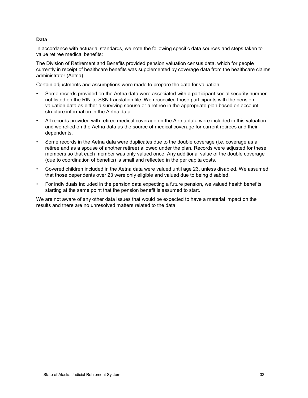#### **Data**

In accordance with actuarial standards, we note the following specific data sources and steps taken to value retiree medical benefits:

The Division of Retirement and Benefits provided pension valuation census data, which for people currently in receipt of healthcare benefits was supplemented by coverage data from the healthcare claims administrator (Aetna).

Certain adjustments and assumptions were made to prepare the data for valuation:

- Some records provided on the Aetna data were associated with a participant social security number not listed on the RIN-to-SSN translation file. We reconciled those participants with the pension valuation data as either a surviving spouse or a retiree in the appropriate plan based on account structure information in the Aetna data.
- All records provided with retiree medical coverage on the Aetna data were included in this valuation and we relied on the Aetna data as the source of medical coverage for current retirees and their dependents.
- Some records in the Aetna data were duplicates due to the double coverage (i.e. coverage as a retiree and as a spouse of another retiree) allowed under the plan. Records were adjusted for these members so that each member was only valued once. Any additional value of the double coverage (due to coordination of benefits) is small and reflected in the per capita costs.
- Covered children included in the Aetna data were valued until age 23, unless disabled. We assumed that those dependents over 23 were only eligible and valued due to being disabled.
- For individuals included in the pension data expecting a future pension, we valued health benefits starting at the same point that the pension benefit is assumed to start.

We are not aware of any other data issues that would be expected to have a material impact on the results and there are no unresolved matters related to the data.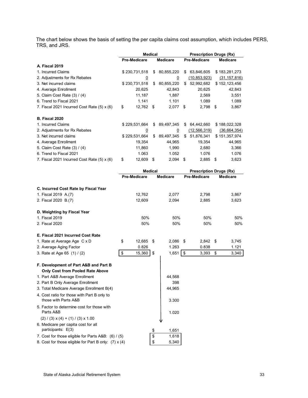The chart below shows the basis of setting the per capita claims cost assumption, which includes PERS, TRS, and JRS.

|                                                         | Medical             |      | <b>Prescription Drugs (Rx)</b> |    |                                |    |                 |
|---------------------------------------------------------|---------------------|------|--------------------------------|----|--------------------------------|----|-----------------|
|                                                         | <b>Pre-Medicare</b> |      | <b>Medicare</b>                |    | <b>Pre-Medicare</b>            |    | <b>Medicare</b> |
| A. Fiscal 2019                                          |                     |      |                                |    |                                |    |                 |
| 1. Incurred Claims                                      | \$230,731,518       | \$   | 80,855,220                     | \$ | 63,846,605                     |    | \$183,281,273   |
| 2. Adjustments for Rx Rebates                           | <u>0</u>            |      | 0                              |    | (10.853.923)                   |    | (31, 157, 816)  |
| 3. Net incurred claims                                  | \$230,731,518       | \$   | 80,855,220                     | \$ | 52,992,682                     |    | \$152,123,456   |
| 4. Average Enrollment                                   | 20,625              |      | 42,843                         |    | 20,625                         |    | 42,843          |
| 5. Claim Cost Rate (3) / (4)                            | 11,187              |      | 1,887                          |    | 2,569                          |    | 3,551           |
| 6. Trend to Fiscal 2021                                 | 1.141               |      | 1.101                          |    | 1.089                          |    | 1.089           |
| 7. Fiscal 2021 Incurred Cost Rate (5) x (6)             | \$<br>12,762 \$     |      | 2,077                          | \$ | 2,798 \$                       |    | 3,867           |
| <b>B. Fiscal 2020</b>                                   |                     |      |                                |    |                                |    |                 |
| 1. Incurred Claims                                      | \$229,531,664       | \$   | 89,497,345                     |    | \$64,442,660                   |    | \$188,022,328   |
| 2. Adjustments for Rx Rebates                           | $\overline{0}$      |      | $\overline{0}$                 |    | (12, 566, 319)                 |    | (36, 664, 354)  |
| 3. Net incurred claims                                  | \$229,531,664       | \$   | 89,497,345                     |    | \$51,876,341                   |    | \$151,357,974   |
| 4. Average Enrollment                                   | 19,354              |      | 44,965                         |    | 19,354                         |    | 44,965          |
| 5. Claim Cost Rate (3) / (4)                            | 11,860              |      | 1,990                          |    | 2,680                          |    | 3,366           |
| 6. Trend to Fiscal 2021                                 | 1.063               |      | 1.052                          |    | 1.076                          |    | 1.076           |
| 7. Fiscal 2021 Incurred Cost Rate (5) x (6)             | \$<br>12,609        | - \$ | 2,094                          | \$ | 2,885                          | \$ | 3,623           |
|                                                         | <b>Medical</b>      |      |                                |    | <b>Prescription Drugs (Rx)</b> |    |                 |
|                                                         | <b>Pre-Medicare</b> |      | <b>Medicare</b>                |    | Pre-Medicare                   |    | <b>Medicare</b> |
|                                                         |                     |      |                                |    |                                |    |                 |
| C. Incurred Cost Rate by Fiscal Year                    |                     |      |                                |    |                                |    |                 |
| 1. Fiscal 2019 A.(7)                                    | 12,762              |      | 2,077                          |    | 2,798                          |    | 3,867           |
| 2. Fiscal 2020 B.(7)                                    | 12,609              |      | 2,094                          |    | 2,885                          |    | 3,623           |
|                                                         |                     |      |                                |    |                                |    |                 |
| D. Weighting by Fiscal Year                             |                     |      |                                |    |                                |    |                 |
| 1. Fiscal 2019                                          | 50%                 |      | 50%                            |    | 50%                            |    | 50%             |
| 2. Fiscal 2020                                          | 50%                 |      | 50%                            |    | 50%                            |    | 50%             |
| E. Fiscal 2021 Incurred Cost Rate                       |                     |      |                                |    |                                |    |                 |
| 1. Rate at Average Age C x D                            | \$<br>12,685        | \$   | 2,086                          | \$ | 2,842 \$                       |    | 3,745           |
| 2. Average Aging Factor                                 | 0.826               |      | 1.263                          |    | 0.838                          |    | 1.121           |
| 3. Rate at Age 65 (1) / (2)                             | \$<br>15,360        | \$   | $1,651$ \$                     |    | 3,393                          | \$ | 3,340           |
|                                                         |                     |      |                                |    |                                |    |                 |
| F. Development of Part A&B and Part B                   |                     |      |                                |    |                                |    |                 |
| Only Cost from Pooled Rate Above                        |                     |      |                                |    |                                |    |                 |
| 1. Part A&B Average Enrollment                          |                     |      | 44,568                         |    |                                |    |                 |
| 2. Part B Only Average Enrollment                       |                     |      | 398                            |    |                                |    |                 |
| 3. Total Medicare Average Enrollment B(4)               |                     |      | 44,965                         |    |                                |    |                 |
| 4. Cost ratio for those with Part B only to             |                     |      |                                |    |                                |    |                 |
| those with Parts A&B                                    |                     |      | 3.300                          |    |                                |    |                 |
| 5. Factor to determine cost for those with<br>Parts A&B |                     |      | 1.020                          |    |                                |    |                 |
| $(2) / (3) \times (4) + (1) / (3) \times 1.00$          |                     |      |                                |    |                                |    |                 |
| 6. Medicare per capita cost for all                     |                     |      |                                |    |                                |    |                 |
| participants: E(3)                                      |                     | \$   | 1,651                          |    |                                |    |                 |
|                                                         |                     |      |                                |    |                                |    |                 |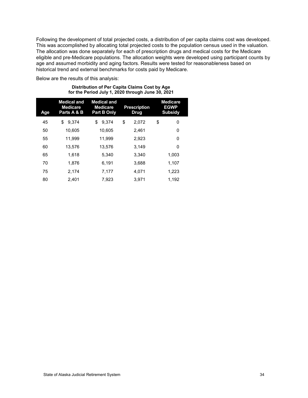Following the development of total projected costs, a distribution of per capita claims cost was developed. This was accomplished by allocating total projected costs to the population census used in the valuation. The allocation was done separately for each of prescription drugs and medical costs for the Medicare eligible and pre-Medicare populations. The allocation weights were developed using participant counts by age and assumed morbidity and aging factors. Results were tested for reasonableness based on historical trend and external benchmarks for costs paid by Medicare.

Below are the results of this analysis:

#### **Distribution of Per Capita Claims Cost by Age for the Period July 1, 2020 through June 30, 2021**

| Age | <b>Medical and</b><br><b>Medicare</b><br>Parts A & B | <b>Medical and</b><br><b>Medicare</b><br><b>Part B Only</b> | <b>Prescription</b><br>Drug | <b>Medicare</b><br><b>EGWP</b><br><b>Subsidy</b> |
|-----|------------------------------------------------------|-------------------------------------------------------------|-----------------------------|--------------------------------------------------|
| 45  | \$<br>9.374                                          | \$<br>9.374                                                 | \$<br>2.072                 | \$<br>0                                          |
| 50  | 10.605                                               | 10,605                                                      | 2.461                       | 0                                                |
| 55  | 11.999                                               | 11,999                                                      | 2,923                       | 0                                                |
| 60  | 13,576                                               | 13,576                                                      | 3.149                       | 0                                                |
| 65  | 1.618                                                | 5.340                                                       | 3.340                       | 1.003                                            |
| 70  | 1.876                                                | 6.191                                                       | 3.688                       | 1.107                                            |
| 75  | 2.174                                                | 7,177                                                       | 4.071                       | 1,223                                            |
| 80  | 2.401                                                | 7.923                                                       | 3.971                       | 1.192                                            |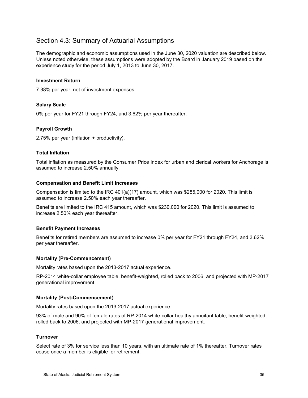## Section 4.3: Summary of Actuarial Assumptions

The demographic and economic assumptions used in the June 30, 2020 valuation are described below. Unless noted otherwise, these assumptions were adopted by the Board in January 2019 based on the experience study for the period July 1, 2013 to June 30, 2017.

#### **Investment Return**

7.38% per year, net of investment expenses.

#### **Salary Scale**

0% per year for FY21 through FY24, and 3.62% per year thereafter.

#### **Payroll Growth**

2.75% per year (inflation + productivity).

#### **Total Inflation**

Total inflation as measured by the Consumer Price Index for urban and clerical workers for Anchorage is assumed to increase 2.50% annually.

#### **Compensation and Benefit Limit Increases**

Compensation is limited to the IRC 401(a)(17) amount, which was \$285,000 for 2020. This limit is assumed to increase 2.50% each year thereafter.

Benefits are limited to the IRC 415 amount, which was \$230,000 for 2020. This limit is assumed to increase 2.50% each year thereafter.

#### **Benefit Payment Increases**

Benefits for retired members are assumed to increase 0% per year for FY21 through FY24, and 3.62% per year thereafter.

#### **Mortality (Pre-Commencement)**

Mortality rates based upon the 2013-2017 actual experience.

RP-2014 white-collar employee table, benefit-weighted, rolled back to 2006, and projected with MP-2017 generational improvement.

#### **Mortality (Post-Commencement)**

Mortality rates based upon the 2013-2017 actual experience.

93% of male and 90% of female rates of RP-2014 white-collar healthy annuitant table, benefit-weighted, rolled back to 2006, and projected with MP-2017 generational improvement.

#### **Turnover**

Select rate of 3% for service less than 10 years, with an ultimate rate of 1% thereafter. Turnover rates cease once a member is eligible for retirement.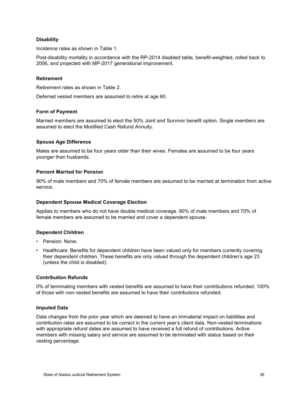#### **Disability**

Incidence rates as shown in Table 1.

Post-disability mortality in accordance with the RP-2014 disabled table, benefit-weighted, rolled back to 2006, and projected with MP-2017 generational improvement.

#### **Retirement**

Retirement rates as shown in Table 2.

Deferred vested members are assumed to retire at age 60.

#### **Form of Payment**

Married members are assumed to elect the 50% Joint and Survivor benefit option. Single members are assumed to elect the Modified Cash Refund Annuity.

#### **Spouse Age Difference**

Males are assumed to be four years older than their wives. Females are assumed to be four years younger than husbands.

#### **Percent Married for Pension**

90% of male members and 70% of female members are assumed to be married at termination from active service.

#### **Dependent Spouse Medical Coverage Election**

Applies to members who do not have double medical coverage. 90% of male members and 70% of female members are assumed to be married and cover a dependent spouse.

#### **Dependent Children**

- Pension: None.
- Healthcare: Benefits for dependent children have been valued only for members currently covering their dependent children. These benefits are only valued through the dependent children's age 23 (unless the child is disabled).

#### **Contribution Refunds**

0% of terminating members with vested benefits are assumed to have their contributions refunded. 100% of those with non-vested benefits are assumed to have their contributions refunded.

#### **Imputed Data**

Data changes from the prior year which are deemed to have an immaterial impact on liabilities and contribution rates are assumed to be correct in the current year's client data. Non-vested terminations with appropriate refund dates are assumed to have received a full refund of contributions. Active members with missing salary and service are assumed to be terminated with status based on their vesting percentage.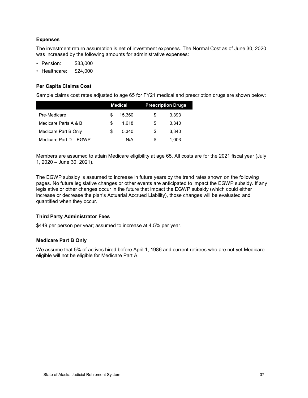#### **Expenses**

The investment return assumption is net of investment expenses. The Normal Cost as of June 30, 2020 was increased by the following amounts for administrative expenses:

- Pension: \$83,000
- Healthcare: \$24,000

#### **Per Capita Claims Cost**

Sample claims cost rates adjusted to age 65 for FY21 medical and prescription drugs are shown below:

|                        | <b>Medical</b> |        |   | <b>Prescription Drugs</b> |
|------------------------|----------------|--------|---|---------------------------|
| Pre-Medicare           | S.             | 15.360 | S | 3,393                     |
| Medicare Parts A & B   | \$.            | 1.618  | S | 3.340                     |
| Medicare Part B Only   | S.             | 5.340  | S | 3.340                     |
| Medicare Part D - EGWP |                | N/A    | S | 1.003                     |

Members are assumed to attain Medicare eligibility at age 65. All costs are for the 2021 fiscal year (July 1, 2020 – June 30, 2021).

The EGWP subsidy is assumed to increase in future years by the trend rates shown on the following pages. No future legislative changes or other events are anticipated to impact the EGWP subsidy. If any legislative or other changes occur in the future that impact the EGWP subsidy (which could either increase or decrease the plan's Actuarial Accrued Liability), those changes will be evaluated and quantified when they occur.

#### **Third Party Administrator Fees**

\$449 per person per year; assumed to increase at 4.5% per year.

#### **Medicare Part B Only**

We assume that 5% of actives hired before April 1, 1986 and current retirees who are not yet Medicare eligible will not be eligible for Medicare Part A.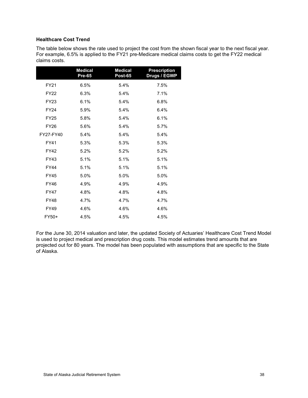#### **Healthcare Cost Trend**

The table below shows the rate used to project the cost from the shown fiscal year to the next fiscal year. For example, 6.5% is applied to the FY21 pre-Medicare medical claims costs to get the FY22 medical claims costs.

|             | <b>Medical</b><br>Pre-65 | <b>Medical</b><br><b>Post-65</b> | <b>Prescription</b><br>Drugs / EGWP |
|-------------|--------------------------|----------------------------------|-------------------------------------|
| FY21        | 6.5%                     | 5.4%                             | 7.5%                                |
| <b>FY22</b> | 6.3%                     | 5.4%                             | 7.1%                                |
| <b>FY23</b> | 6.1%                     | 5.4%                             | 6.8%                                |
| <b>FY24</b> | 5.9%                     | 5.4%                             | 6.4%                                |
| <b>FY25</b> | 5.8%                     | 5.4%                             | 6.1%                                |
| <b>FY26</b> | 5.6%                     | 5.4%                             | 5.7%                                |
| FY27-FY40   | 5.4%                     | 5.4%                             | 5.4%                                |
| <b>FY41</b> | 5.3%                     | 5.3%                             | 5.3%                                |
| <b>FY42</b> | 5.2%                     | 5.2%                             | 5.2%                                |
| <b>FY43</b> | 5.1%                     | 5.1%                             | 5.1%                                |
| <b>FY44</b> | 5.1%                     | 5.1%                             | 5.1%                                |
| <b>FY45</b> | 5.0%                     | 5.0%                             | 5.0%                                |
| <b>FY46</b> | 4.9%                     | 4.9%                             | 4.9%                                |
| <b>FY47</b> | 4.8%                     | 4.8%                             | 4.8%                                |
| <b>FY48</b> | 4.7%                     | 4.7%                             | 4.7%                                |
| FY49        | 4.6%                     | 4.6%                             | 4.6%                                |
| FY50+       | 4.5%                     | 4.5%                             | 4.5%                                |

For the June 30, 2014 valuation and later, the updated Society of Actuaries' Healthcare Cost Trend Model is used to project medical and prescription drug costs. This model estimates trend amounts that are projected out for 80 years. The model has been populated with assumptions that are specific to the State of Alaska.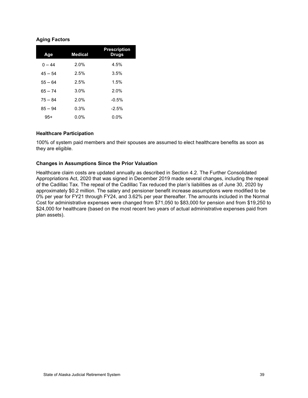#### **Aging Factors**

| Age       | <b>Medical</b> | <b>Prescription</b><br><b>Drugs</b> |
|-----------|----------------|-------------------------------------|
| $0 - 44$  | 2.0%           | 4.5%                                |
| $45 - 54$ | 2.5%           | 3.5%                                |
| $55 - 64$ | 2.5%           | 1.5%                                |
| $65 - 74$ | 3.0%           | 2.0%                                |
| $75 - 84$ | 2.0%           | $-0.5%$                             |
| $85 - 94$ | 0.3%           | $-2.5%$                             |
| $95+$     | 0.0%           | $0.0\%$                             |

#### **Healthcare Participation**

100% of system paid members and their spouses are assumed to elect healthcare benefits as soon as they are eligible.

#### **Changes in Assumptions Since the Prior Valuation**

Healthcare claim costs are updated annually as described in Section 4.2. The Further Consolidated Appropriations Act, 2020 that was signed in December 2019 made several changes, including the repeal of the Cadillac Tax. The repeal of the Cadillac Tax reduced the plan's liabilities as of June 30, 2020 by approximately \$0.2 million. The salary and pensioner benefit increase assumptions were modified to be 0% per year for FY21 through FY24, and 3.62% per year thereafter. The amounts included in the Normal Cost for administrative expenses were changed from \$71,050 to \$83,000 for pension and from \$19,250 to \$24,000 for healthcare (based on the most recent two years of actual administrative expenses paid from plan assets).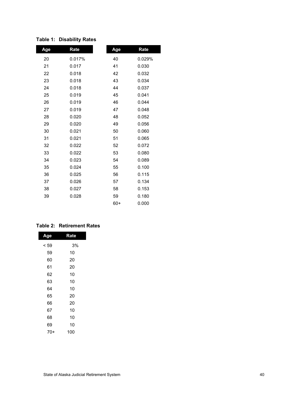| Age | Rate   | Age   | Rate   |
|-----|--------|-------|--------|
| 20  | 0.017% | 40    | 0.029% |
| 21  | 0.017  | 41    | 0.030  |
| 22  | 0.018  | 42    | 0.032  |
| 23  | 0.018  | 43    | 0.034  |
| 24  | 0.018  | 44    | 0.037  |
| 25  | 0.019  | 45    | 0.041  |
| 26  | 0.019  | 46    | 0.044  |
| 27  | 0.019  | 47    | 0.048  |
| 28  | 0.020  | 48    | 0.052  |
| 29  | 0.020  | 49    | 0.056  |
| 30  | 0.021  | 50    | 0.060  |
| 31  | 0.021  | 51    | 0.065  |
| 32  | 0.022  | 52    | 0.072  |
| 33  | 0.022  | 53    | 0.080  |
| 34  | 0.023  | 54    | 0.089  |
| 35  | 0.024  | 55    | 0.100  |
| 36  | 0.025  | 56    | 0.115  |
| 37  | 0.026  | 57    | 0.134  |
| 38  | 0.027  | 58    | 0.153  |
| 39  | 0.028  | 59    | 0.180  |
|     |        | $60+$ | 0.000  |

## **Table 1: Disability Rates**

#### **Table 2: Retirement Rates**

| Age  | Rate |  |  |  |  |
|------|------|--|--|--|--|
| < 59 | 3%   |  |  |  |  |
| 59   | 10   |  |  |  |  |
| 60   | 20   |  |  |  |  |
| 61   | 20   |  |  |  |  |
| 62   | 10   |  |  |  |  |
| 63   | 10   |  |  |  |  |
| 64   | 10   |  |  |  |  |
| 65   | 20   |  |  |  |  |
| 66   | 20   |  |  |  |  |
| 67   | 10   |  |  |  |  |
| 68   | 10   |  |  |  |  |
| 69   | 10   |  |  |  |  |
| 70+  | 100  |  |  |  |  |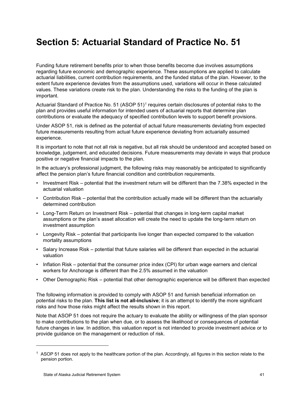# **Section 5: Actuarial Standard of Practice No. 51**

Funding future retirement benefits prior to when those benefits become due involves assumptions regarding future economic and demographic experience. These assumptions are applied to calculate actuarial liabilities, current contribution requirements, and the funded status of the plan. However, to the extent future experience deviates from the assumptions used, variations will occur in these calculated values. These variations create risk to the plan. Understanding the risks to the funding of the plan is important.

Actuarial Standard of Practice No. 5[1](#page-45-0) (ASOP 51)<sup>1</sup> requires certain disclosures of potential risks to the plan and provides useful information for intended users of actuarial reports that determine plan contributions or evaluate the adequacy of specified contribution levels to support benefit provisions.

Under ASOP 51, risk is defined as the potential of actual future measurements deviating from expected future measurements resulting from actual future experience deviating from actuarially assumed experience.

It is important to note that not all risk is negative, but all risk should be understood and accepted based on knowledge, judgement, and educated decisions. Future measurements may deviate in ways that produce positive or negative financial impacts to the plan.

In the actuary's professional judgment, the following risks may reasonably be anticipated to significantly affect the pension plan's future financial condition and contribution requirements.

- Investment Risk potential that the investment return will be different than the 7.38% expected in the actuarial valuation
- Contribution Risk potential that the contribution actually made will be different than the actuarially determined contribution
- Long-Term Return on Investment Risk potential that changes in long-term capital market assumptions or the plan's asset allocation will create the need to update the long-term return on investment assumption
- Longevity Risk potential that participants live longer than expected compared to the valuation mortality assumptions
- Salary Increase Risk potential that future salaries will be different than expected in the actuarial valuation
- Inflation Risk potential that the consumer price index (CPI) for urban wage earners and clerical workers for Anchorage is different than the 2.5% assumed in the valuation
- Other Demographic Risk potential that other demographic experience will be different than expected

The following information is provided to comply with ASOP 51 and furnish beneficial information on potential risks to the plan. **This list is not all-inclusive**; it is an attempt to identify the more significant risks and how those risks might affect the results shown in this report.

Note that ASOP 51 does not require the actuary to evaluate the ability or willingness of the plan sponsor to make contributions to the plan when due, or to assess the likelihood or consequences of potential future changes in law. In addition, this valuation report is not intended to provide investment advice or to provide guidance on the management or reduction of risk.

-

<span id="page-45-0"></span> $1$  ASOP 51 does not apply to the healthcare portion of the plan. Accordingly, all figures in this section relate to the pension portion.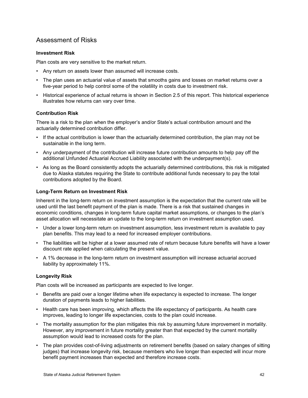## Assessment of Risks

#### **Investment Risk**

Plan costs are very sensitive to the market return.

- Any return on assets lower than assumed will increase costs.
- The plan uses an actuarial value of assets that smooths gains and losses on market returns over a five-year period to help control some of the volatility in costs due to investment risk.
- Historical experience of actual returns is shown in Section 2.5 of this report. This historical experience illustrates how returns can vary over time.

#### **Contribution Risk**

There is a risk to the plan when the employer's and/or State's actual contribution amount and the actuarially determined contribution differ.

- If the actual contribution is lower than the actuarially determined contribution, the plan may not be sustainable in the long term.
- Any underpayment of the contribution will increase future contribution amounts to help pay off the additional Unfunded Actuarial Accrued Liability associated with the underpayment(s).
- As long as the Board consistently adopts the actuarially determined contributions, this risk is mitigated due to Alaska statutes requiring the State to contribute additional funds necessary to pay the total contributions adopted by the Board.

#### **Long-Term Return on Investment Risk**

Inherent in the long-term return on investment assumption is the expectation that the current rate will be used until the last benefit payment of the plan is made. There is a risk that sustained changes in economic conditions, changes in long-term future capital market assumptions, or changes to the plan's asset allocation will necessitate an update to the long-term return on investment assumption used.

- Under a lower long-term return on investment assumption, less investment return is available to pay plan benefits. This may lead to a need for increased employer contributions.
- The liabilities will be higher at a lower assumed rate of return because future benefits will have a lower discount rate applied when calculating the present value.
- A 1% decrease in the long-term return on investment assumption will increase actuarial accrued liability by approximately 11%.

#### **Longevity Risk**

Plan costs will be increased as participants are expected to live longer.

- Benefits are paid over a longer lifetime when life expectancy is expected to increase. The longer duration of payments leads to higher liabilities.
- Health care has been improving, which affects the life expectancy of participants. As health care improves, leading to longer life expectancies, costs to the plan could increase.
- The mortality assumption for the plan mitigates this risk by assuming future improvement in mortality. However, any improvement in future mortality greater than that expected by the current mortality assumption would lead to increased costs for the plan.
- The plan provides cost-of-living adjustments on retirement benefits (based on salary changes of sitting judges) that increase longevity risk, because members who live longer than expected will incur more benefit payment increases than expected and therefore increase costs.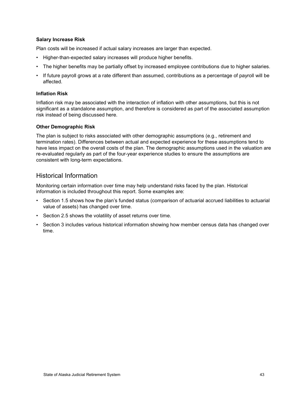#### **Salary Increase Risk**

Plan costs will be increased if actual salary increases are larger than expected.

- Higher-than-expected salary increases will produce higher benefits.
- The higher benefits may be partially offset by increased employee contributions due to higher salaries.
- If future payroll grows at a rate different than assumed, contributions as a percentage of payroll will be affected.

#### **Inflation Risk**

Inflation risk may be associated with the interaction of inflation with other assumptions, but this is not significant as a standalone assumption, and therefore is considered as part of the associated assumption risk instead of being discussed here.

#### **Other Demographic Risk**

The plan is subject to risks associated with other demographic assumptions (e.g., retirement and termination rates). Differences between actual and expected experience for these assumptions tend to have less impact on the overall costs of the plan. The demographic assumptions used in the valuation are re-evaluated regularly as part of the four-year experience studies to ensure the assumptions are consistent with long-term expectations.

### Historical Information

Monitoring certain information over time may help understand risks faced by the plan. Historical information is included throughout this report. Some examples are:

- Section 1.5 shows how the plan's funded status (comparison of actuarial accrued liabilities to actuarial value of assets) has changed over time.
- Section 2.5 shows the volatility of asset returns over time.
- Section 3 includes various historical information showing how member census data has changed over time.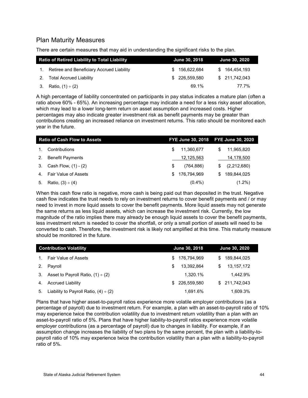## Plan Maturity Measures

There are certain measures that may aid in understanding the significant risks to the plan.

| <b>Ratio of Retired Liability to Total Liability</b> |                                           |     | June 30, 2018  | <b>June 30, 2020</b> |               |  |
|------------------------------------------------------|-------------------------------------------|-----|----------------|----------------------|---------------|--|
| $1_{-}$                                              | Retiree and Beneficiary Accrued Liability | SS. | 156.622.684    |                      | \$164.454.193 |  |
| 2.                                                   | Total Accrued Liability                   |     | \$ 226.559.580 |                      | \$211.742.043 |  |
|                                                      | 3. Ratio, $(1) \div (2)$                  |     | 69.1%          |                      | 77.7%         |  |

A high percentage of liability concentrated on participants in pay status indicates a mature plan (often a ratio above 60% - 65%). An increasing percentage may indicate a need for a less risky asset allocation, which may lead to a lower long-term return on asset assumption and increased costs. Higher percentages may also indicate greater investment risk as benefit payments may be greater than contributions creating an increased reliance on investment returns. This ratio should be monitored each year in the future.

|                | <b>Ratio of Cash Flow to Assets</b> |     | FYE June 30, 2018 FYE June 30, 2020 |    |             |
|----------------|-------------------------------------|-----|-------------------------------------|----|-------------|
|                | Contributions                       | S   | 11,360,677                          | \$ | 11,965,820  |
| 2.             | <b>Benefit Payments</b>             |     | 12,125,563                          |    | 14,178,500  |
| 3.             | Cash Flow, $(1) - (2)$              | \$  | (764, 886)                          | \$ | (2,212,680) |
| 4 <sup>1</sup> | <b>Fair Value of Assets</b>         | \$. | 176.794.969                         | S. | 189.844.025 |
| 5.             | Ratio, $(3) \div (4)$               |     | $(0.4\%)$                           |    | $(1.2\%)$   |

When this cash flow ratio is negative, more cash is being paid out than deposited in the trust. Negative cash flow indicates the trust needs to rely on investment returns to cover benefit payments and / or may need to invest in more liquid assets to cover the benefit payments. More liquid assets may not generate the same returns as less liquid assets, which can increase the investment risk. Currently, the low magnitude of the ratio implies there may already be enough liquid assets to cover the benefit payments, less investment return is needed to cover the shortfall, or only a small portion of assets will need to be converted to cash. Therefore, the investment risk is likely not amplified at this time. This maturity measure should be monitored in the future.

| <b>Contribution Volatility</b> |                                            |     | <b>June 30, 2018</b> | June 30, 2020      |  |  |
|--------------------------------|--------------------------------------------|-----|----------------------|--------------------|--|--|
|                                | <b>Fair Value of Assets</b>                | S   | 176,794,969          | 189,844,025<br>\$. |  |  |
| 2.                             | Payroll                                    | S   | 13.392.864           | 13, 157, 172<br>S  |  |  |
| 3.                             | Asset to Payroll Ratio, $(1) \div (2)$     |     | 1.320.1%             | 1.442.9%           |  |  |
| 4.                             | <b>Accrued Liability</b>                   | \$. | 226.559.580          | \$211.742.043      |  |  |
| 5.                             | Liability to Payroll Ratio, $(4) \div (2)$ |     | 1.691.6%             | 1.609.3%           |  |  |

Plans that have higher asset-to-payroll ratios experience more volatile employer contributions (as a percentage of payroll) due to investment return. For example, a plan with an asset-to-payroll ratio of 10% may experience twice the contribution volatility due to investment return volatility than a plan with an asset-to-payroll ratio of 5%. Plans that have higher liability-to-payroll ratios experience more volatile employer contributions (as a percentage of payroll) due to changes in liability. For example, if an assumption change increases the liability of two plans by the same percent, the plan with a liability-topayroll ratio of 10% may experience twice the contribution volatility than a plan with a liability-to-payroll ratio of 5%.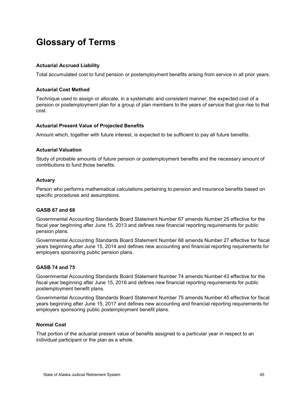# <span id="page-49-0"></span>**Glossary of Terms**

#### **Actuarial Accrued Liability**

Total accumulated cost to fund pension or postemployment benefits arising from service in all prior years.

#### **Actuarial Cost Method**

Technique used to assign or allocate, in a systematic and consistent manner, the expected cost of a pension or postemployment plan for a group of plan members to the years of service that give rise to that cost.

#### **Actuarial Present Value of Projected Benefits**

Amount which, together with future interest, is expected to be sufficient to pay all future benefits.

#### **Actuarial Valuation**

Study of probable amounts of future pension or postemployment benefits and the necessary amount of contributions to fund those benefits.

#### **Actuary**

Person who performs mathematical calculations pertaining to pension and insurance benefits based on specific procedures and assumptions.

#### **GASB 67 and 68**

Governmental Accounting Standards Board Statement Number 67 amends Number 25 effective for the fiscal year beginning after June 15, 2013 and defines new financial reporting requirements for public pension plans.

Governmental Accounting Standards Board Statement Number 68 amends Number 27 effective for fiscal years beginning after June 15, 2014 and defines new accounting and financial reporting requirements for employers sponsoring public pension plans.

#### **GASB 74 and 75**

Governmental Accounting Standards Board Statement Number 74 amends Number 43 effective for the fiscal year beginning after June 15, 2016 and defines new financial reporting requirements for public postemployment benefit plans.

Governmental Accounting Standards Board Statement Number 75 amends Number 45 effective for fiscal years beginning after June 15, 2017 and defines new accounting and financial reporting requirements for employers sponsoring public postemployment benefit plans.

#### **Normal Cost**

That portion of the actuarial present value of benefits assigned to a particular year in respect to an individual participant or the plan as a whole.